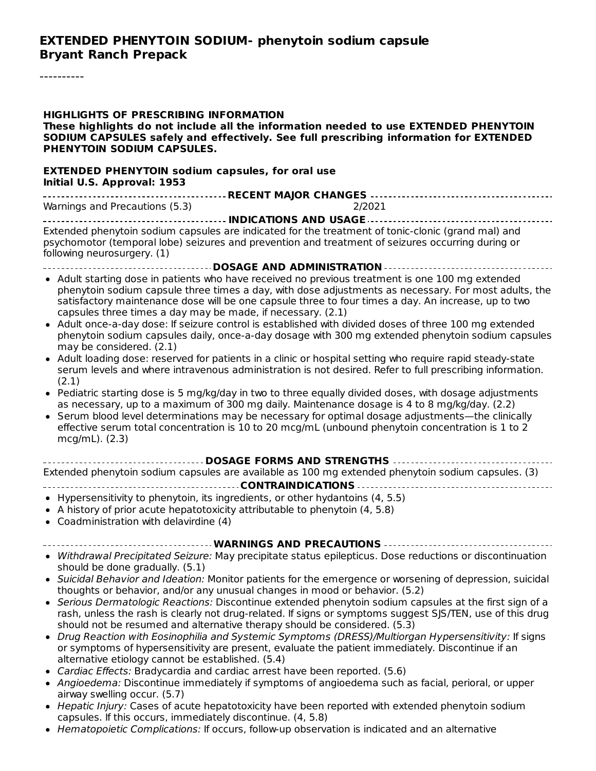----------

| <b>HIGHLIGHTS OF PRESCRIBING INFORMATION</b><br>These highlights do not include all the information needed to use EXTENDED PHENYTOIN<br>SODIUM CAPSULES safely and effectively. See full prescribing information for EXTENDED<br>PHENYTOIN SODIUM CAPSULES.                                                                                                                                                                                                                                                                                                                                                                                                                                                                                                                                                                                                                                                                                                                                                                                                                                                                          |
|--------------------------------------------------------------------------------------------------------------------------------------------------------------------------------------------------------------------------------------------------------------------------------------------------------------------------------------------------------------------------------------------------------------------------------------------------------------------------------------------------------------------------------------------------------------------------------------------------------------------------------------------------------------------------------------------------------------------------------------------------------------------------------------------------------------------------------------------------------------------------------------------------------------------------------------------------------------------------------------------------------------------------------------------------------------------------------------------------------------------------------------|
| <b>EXTENDED PHENYTOIN sodium capsules, for oral use</b><br>Initial U.S. Approval: 1953                                                                                                                                                                                                                                                                                                                                                                                                                                                                                                                                                                                                                                                                                                                                                                                                                                                                                                                                                                                                                                               |
| ---------------------------------- RECENT MAJOR CHANGES -----------------------------------                                                                                                                                                                                                                                                                                                                                                                                                                                                                                                                                                                                                                                                                                                                                                                                                                                                                                                                                                                                                                                          |
| Warnings and Precautions (5.3)<br>2/2021                                                                                                                                                                                                                                                                                                                                                                                                                                                                                                                                                                                                                                                                                                                                                                                                                                                                                                                                                                                                                                                                                             |
|                                                                                                                                                                                                                                                                                                                                                                                                                                                                                                                                                                                                                                                                                                                                                                                                                                                                                                                                                                                                                                                                                                                                      |
| Extended phenytoin sodium capsules are indicated for the treatment of tonic-clonic (grand mal) and<br>psychomotor (temporal lobe) seizures and prevention and treatment of seizures occurring during or<br>following neurosurgery. (1)                                                                                                                                                                                                                                                                                                                                                                                                                                                                                                                                                                                                                                                                                                                                                                                                                                                                                               |
| ------------------------------ DOSAGE AND ADMINISTRATION ----------------------------------                                                                                                                                                                                                                                                                                                                                                                                                                                                                                                                                                                                                                                                                                                                                                                                                                                                                                                                                                                                                                                          |
| • Adult starting dose in patients who have received no previous treatment is one 100 mg extended<br>phenytoin sodium capsule three times a day, with dose adjustments as necessary. For most adults, the<br>satisfactory maintenance dose will be one capsule three to four times a day. An increase, up to two<br>capsules three times a day may be made, if necessary. (2.1)<br>• Adult once-a-day dose: If seizure control is established with divided doses of three 100 mg extended<br>phenytoin sodium capsules daily, once-a-day dosage with 300 mg extended phenytoin sodium capsules<br>may be considered. (2.1)<br>• Adult loading dose: reserved for patients in a clinic or hospital setting who require rapid steady-state<br>serum levels and where intravenous administration is not desired. Refer to full prescribing information.                                                                                                                                                                                                                                                                                  |
| (2.1)<br>• Pediatric starting dose is 5 mg/kg/day in two to three equally divided doses, with dosage adjustments<br>as necessary, up to a maximum of 300 mg daily. Maintenance dosage is 4 to 8 mg/kg/day. (2.2)<br>• Serum blood level determinations may be necessary for optimal dosage adjustments—the clinically<br>effective serum total concentration is 10 to 20 mcg/mL (unbound phenytoin concentration is 1 to 2<br>$mcg/mL)$ . (2.3)                                                                                                                                                                                                                                                                                                                                                                                                                                                                                                                                                                                                                                                                                      |
| ----------------------------- DOSAGE FORMS AND STRENGTHS -----------------------------<br>Extended phenytoin sodium capsules are available as 100 mg extended phenytoin sodium capsules. (3)                                                                                                                                                                                                                                                                                                                                                                                                                                                                                                                                                                                                                                                                                                                                                                                                                                                                                                                                         |
| • Hypersensitivity to phenytoin, its ingredients, or other hydantoins (4, 5.5)<br>• A history of prior acute hepatotoxicity attributable to phenytoin (4, 5.8)<br>• Coadministration with delavirdine (4)                                                                                                                                                                                                                                                                                                                                                                                                                                                                                                                                                                                                                                                                                                                                                                                                                                                                                                                            |
|                                                                                                                                                                                                                                                                                                                                                                                                                                                                                                                                                                                                                                                                                                                                                                                                                                                                                                                                                                                                                                                                                                                                      |
| • Withdrawal Precipitated Seizure: May precipitate status epilepticus. Dose reductions or discontinuation<br>should be done gradually. (5.1)<br>• Suicidal Behavior and Ideation: Monitor patients for the emergence or worsening of depression, suicidal<br>thoughts or behavior, and/or any unusual changes in mood or behavior. (5.2)<br>• Serious Dermatologic Reactions: Discontinue extended phenytoin sodium capsules at the first sign of a<br>rash, unless the rash is clearly not drug-related. If signs or symptoms suggest SJS/TEN, use of this drug<br>should not be resumed and alternative therapy should be considered. (5.3)<br>• Drug Reaction with Eosinophilia and Systemic Symptoms (DRESS)/Multiorgan Hypersensitivity: If signs<br>or symptoms of hypersensitivity are present, evaluate the patient immediately. Discontinue if an<br>alternative etiology cannot be established. (5.4)<br>• Cardiac Effects: Bradycardia and cardiac arrest have been reported. (5.6)<br>• Angioedema: Discontinue immediately if symptoms of angioedema such as facial, perioral, or upper<br>airway swelling occur. (5.7) |
| .<br>Johnny Cooos of control prophetonicity bonny loops somethed with cutrended specialists                                                                                                                                                                                                                                                                                                                                                                                                                                                                                                                                                                                                                                                                                                                                                                                                                                                                                                                                                                                                                                          |

- Hepatic Injury: Cases of acute hepatotoxicity have been reported with extended phenytoin sodium capsules. If this occurs, immediately discontinue. (4, 5.8)
- Hematopoietic Complications: If occurs, follow-up observation is indicated and an alternative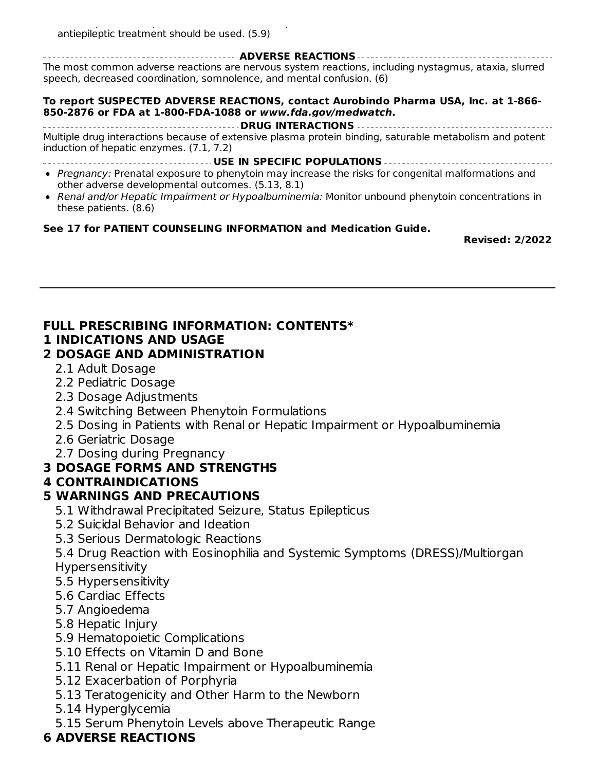Hematopoietic Complications: If occurs, follow-up observation is indicated and an alternative antiepileptic treatment should be used. (5.9)

**ADVERSE REACTIONS**

The most common adverse reactions are nervous system reactions, including nystagmus, ataxia, slurred speech, decreased coordination, somnolence, and mental confusion. (6)

#### **To report SUSPECTED ADVERSE REACTIONS, contact Aurobindo Pharma USA, Inc. at 1-866- 850-2876 or FDA at 1-800-FDA-1088 or www.fda.gov/medwatch.**

#### **DRUG INTERACTIONS**

Multiple drug interactions because of extensive plasma protein binding, saturable metabolism and potent induction of hepatic enzymes. (7.1, 7.2)

**USE IN SPECIFIC POPULATIONS**

- Pregnancy: Prenatal exposure to phenytoin may increase the risks for congenital malformations and other adverse developmental outcomes. (5.13, 8.1)
- Renal and/or Hepatic Impairment or Hypoalbuminemia: Monitor unbound phenytoin concentrations in these patients. (8.6)

#### **See 17 for PATIENT COUNSELING INFORMATION and Medication Guide.**

**Revised: 2/2022**

### **FULL PRESCRIBING INFORMATION: CONTENTS\***

#### **1 INDICATIONS AND USAGE**

#### **2 DOSAGE AND ADMINISTRATION**

- 2.1 Adult Dosage
- 2.2 Pediatric Dosage
- 2.3 Dosage Adjustments
- 2.4 Switching Between Phenytoin Formulations
- 2.5 Dosing in Patients with Renal or Hepatic Impairment or Hypoalbuminemia
- 2.6 Geriatric Dosage
- 2.7 Dosing during Pregnancy

### **3 DOSAGE FORMS AND STRENGTHS**

#### **4 CONTRAINDICATIONS**

#### **5 WARNINGS AND PRECAUTIONS**

- 5.1 Withdrawal Precipitated Seizure, Status Epilepticus
- 5.2 Suicidal Behavior and Ideation
- 5.3 Serious Dermatologic Reactions

5.4 Drug Reaction with Eosinophilia and Systemic Symptoms (DRESS)/Multiorgan **Hypersensitivity** 

- 5.5 Hypersensitivity
- 5.6 Cardiac Effects
- 5.7 Angioedema
- 5.8 Hepatic Injury
- 5.9 Hematopoietic Complications
- 5.10 Effects on Vitamin D and Bone
- 5.11 Renal or Hepatic Impairment or Hypoalbuminemia
- 5.12 Exacerbation of Porphyria
- 5.13 Teratogenicity and Other Harm to the Newborn
- 5.14 Hyperglycemia
- 5.15 Serum Phenytoin Levels above Therapeutic Range

# **6 ADVERSE REACTIONS**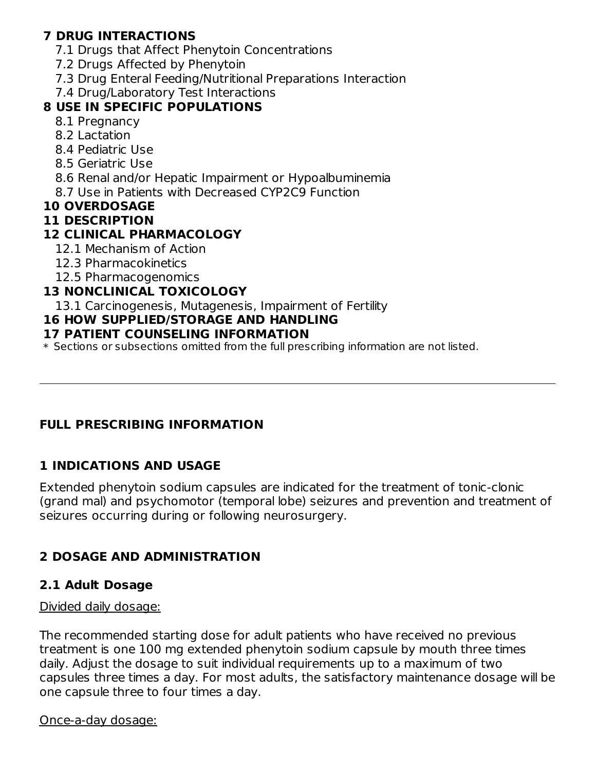# **7 DRUG INTERACTIONS**

- 7.1 Drugs that Affect Phenytoin Concentrations
- 7.2 Drugs Affected by Phenytoin
- 7.3 Drug Enteral Feeding/Nutritional Preparations Interaction

# 7.4 Drug/Laboratory Test Interactions

### **8 USE IN SPECIFIC POPULATIONS**

- 8.1 Pregnancy
- 8.2 Lactation
- 8.4 Pediatric Use
- 8.5 Geriatric Use
- 8.6 Renal and/or Hepatic Impairment or Hypoalbuminemia
- 8.7 Use in Patients with Decreased CYP2C9 Function

#### **10 OVERDOSAGE**

#### **11 DESCRIPTION**

### **12 CLINICAL PHARMACOLOGY**

- 12.1 Mechanism of Action
- 12.3 Pharmacokinetics
- 12.5 Pharmacogenomics

### **13 NONCLINICAL TOXICOLOGY**

13.1 Carcinogenesis, Mutagenesis, Impairment of Fertility

### **16 HOW SUPPLIED/STORAGE AND HANDLING**

#### **17 PATIENT COUNSELING INFORMATION**

\* Sections or subsections omitted from the full prescribing information are not listed.

# **FULL PRESCRIBING INFORMATION**

### **1 INDICATIONS AND USAGE**

Extended phenytoin sodium capsules are indicated for the treatment of tonic-clonic (grand mal) and psychomotor (temporal lobe) seizures and prevention and treatment of seizures occurring during or following neurosurgery.

# **2 DOSAGE AND ADMINISTRATION**

# **2.1 Adult Dosage**

### Divided daily dosage:

The recommended starting dose for adult patients who have received no previous treatment is one 100 mg extended phenytoin sodium capsule by mouth three times daily. Adjust the dosage to suit individual requirements up to a maximum of two capsules three times a day. For most adults, the satisfactory maintenance dosage will be one capsule three to four times a day.

#### Once-a-day dosage: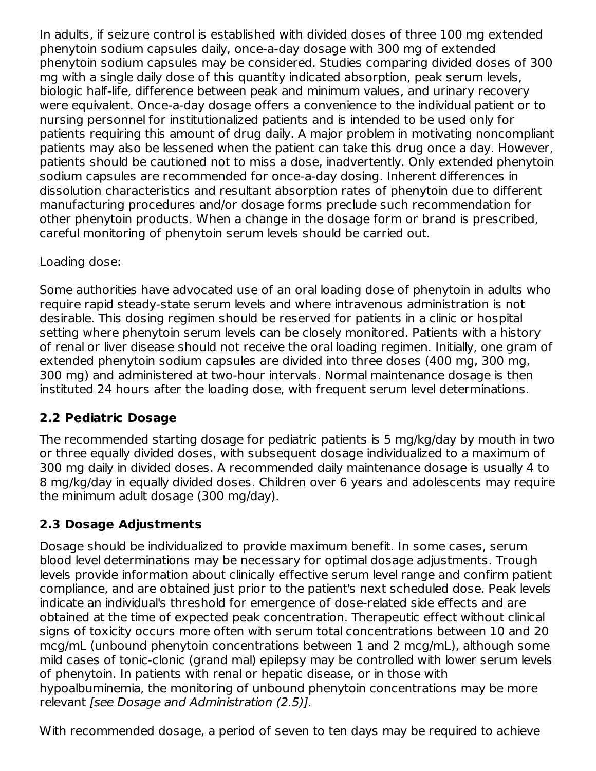In adults, if seizure control is established with divided doses of three 100 mg extended phenytoin sodium capsules daily, once-a-day dosage with 300 mg of extended phenytoin sodium capsules may be considered. Studies comparing divided doses of 300 mg with a single daily dose of this quantity indicated absorption, peak serum levels, biologic half-life, difference between peak and minimum values, and urinary recovery were equivalent. Once-a-day dosage offers a convenience to the individual patient or to nursing personnel for institutionalized patients and is intended to be used only for patients requiring this amount of drug daily. A major problem in motivating noncompliant patients may also be lessened when the patient can take this drug once a day. However, patients should be cautioned not to miss a dose, inadvertently. Only extended phenytoin sodium capsules are recommended for once-a-day dosing. Inherent differences in dissolution characteristics and resultant absorption rates of phenytoin due to different manufacturing procedures and/or dosage forms preclude such recommendation for other phenytoin products. When a change in the dosage form or brand is prescribed, careful monitoring of phenytoin serum levels should be carried out.

# Loading dose:

Some authorities have advocated use of an oral loading dose of phenytoin in adults who require rapid steady-state serum levels and where intravenous administration is not desirable. This dosing regimen should be reserved for patients in a clinic or hospital setting where phenytoin serum levels can be closely monitored. Patients with a history of renal or liver disease should not receive the oral loading regimen. Initially, one gram of extended phenytoin sodium capsules are divided into three doses (400 mg, 300 mg, 300 mg) and administered at two-hour intervals. Normal maintenance dosage is then instituted 24 hours after the loading dose, with frequent serum level determinations.

# **2.2 Pediatric Dosage**

The recommended starting dosage for pediatric patients is 5 mg/kg/day by mouth in two or three equally divided doses, with subsequent dosage individualized to a maximum of 300 mg daily in divided doses. A recommended daily maintenance dosage is usually 4 to 8 mg/kg/day in equally divided doses. Children over 6 years and adolescents may require the minimum adult dosage (300 mg/day).

# **2.3 Dosage Adjustments**

Dosage should be individualized to provide maximum benefit. In some cases, serum blood level determinations may be necessary for optimal dosage adjustments. Trough levels provide information about clinically effective serum level range and confirm patient compliance, and are obtained just prior to the patient's next scheduled dose. Peak levels indicate an individual's threshold for emergence of dose-related side effects and are obtained at the time of expected peak concentration. Therapeutic effect without clinical signs of toxicity occurs more often with serum total concentrations between 10 and 20 mcg/mL (unbound phenytoin concentrations between 1 and 2 mcg/mL), although some mild cases of tonic-clonic (grand mal) epilepsy may be controlled with lower serum levels of phenytoin. In patients with renal or hepatic disease, or in those with hypoalbuminemia, the monitoring of unbound phenytoin concentrations may be more relevant [see Dosage and Administration (2.5)].

With recommended dosage, a period of seven to ten days may be required to achieve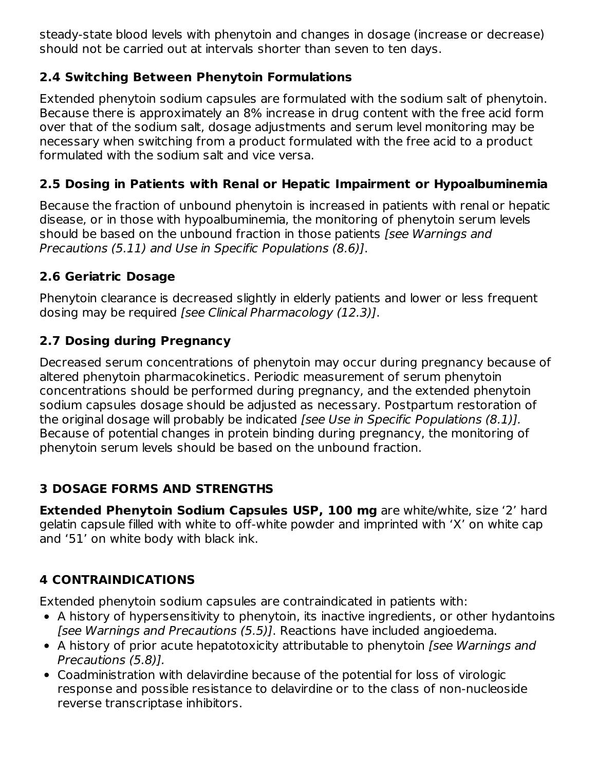steady-state blood levels with phenytoin and changes in dosage (increase or decrease) should not be carried out at intervals shorter than seven to ten days.

# **2.4 Switching Between Phenytoin Formulations**

Extended phenytoin sodium capsules are formulated with the sodium salt of phenytoin. Because there is approximately an 8% increase in drug content with the free acid form over that of the sodium salt, dosage adjustments and serum level monitoring may be necessary when switching from a product formulated with the free acid to a product formulated with the sodium salt and vice versa.

# **2.5 Dosing in Patients with Renal or Hepatic Impairment or Hypoalbuminemia**

Because the fraction of unbound phenytoin is increased in patients with renal or hepatic disease, or in those with hypoalbuminemia, the monitoring of phenytoin serum levels should be based on the unbound fraction in those patients *[see Warnings and* Precautions (5.11) and Use in Specific Populations (8.6)].

# **2.6 Geriatric Dosage**

Phenytoin clearance is decreased slightly in elderly patients and lower or less frequent dosing may be required [see Clinical Pharmacology (12.3)].

# **2.7 Dosing during Pregnancy**

Decreased serum concentrations of phenytoin may occur during pregnancy because of altered phenytoin pharmacokinetics. Periodic measurement of serum phenytoin concentrations should be performed during pregnancy, and the extended phenytoin sodium capsules dosage should be adjusted as necessary. Postpartum restoration of the original dosage will probably be indicated *[see Use in Specific Populations (8.1)]*. Because of potential changes in protein binding during pregnancy, the monitoring of phenytoin serum levels should be based on the unbound fraction.

# **3 DOSAGE FORMS AND STRENGTHS**

**Extended Phenytoin Sodium Capsules USP, 100 mg** are white/white, size '2' hard gelatin capsule filled with white to off-white powder and imprinted with 'X' on white cap and '51' on white body with black ink.

# **4 CONTRAINDICATIONS**

Extended phenytoin sodium capsules are contraindicated in patients with:

- A history of hypersensitivity to phenytoin, its inactive ingredients, or other hydantoins [see Warnings and Precautions (5.5)]. Reactions have included angioedema.
- A history of prior acute hepatotoxicity attributable to phenytoin *[see Warnings and* Precautions (5.8)].
- Coadministration with delavirdine because of the potential for loss of virologic response and possible resistance to delavirdine or to the class of non-nucleoside reverse transcriptase inhibitors.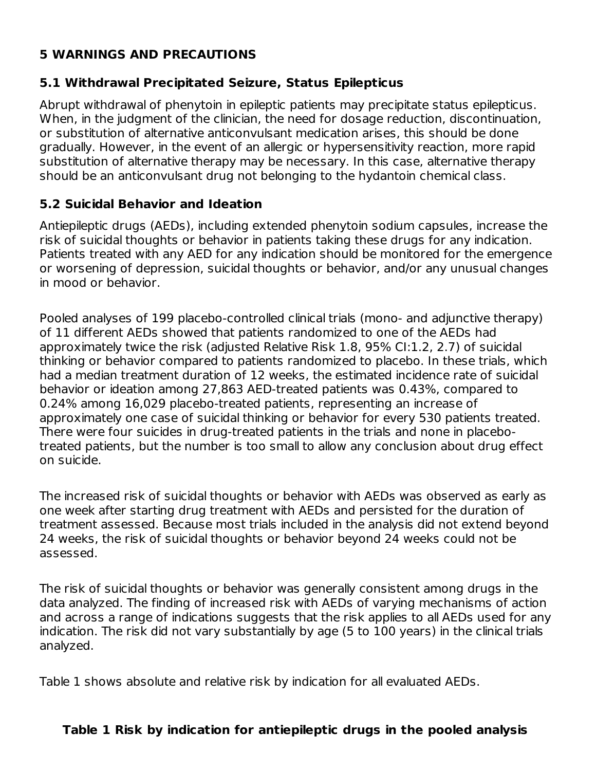# **5 WARNINGS AND PRECAUTIONS**

#### **5.1 Withdrawal Precipitated Seizure, Status Epilepticus**

Abrupt withdrawal of phenytoin in epileptic patients may precipitate status epilepticus. When, in the judgment of the clinician, the need for dosage reduction, discontinuation, or substitution of alternative anticonvulsant medication arises, this should be done gradually. However, in the event of an allergic or hypersensitivity reaction, more rapid substitution of alternative therapy may be necessary. In this case, alternative therapy should be an anticonvulsant drug not belonging to the hydantoin chemical class.

#### **5.2 Suicidal Behavior and Ideation**

Antiepileptic drugs (AEDs), including extended phenytoin sodium capsules, increase the risk of suicidal thoughts or behavior in patients taking these drugs for any indication. Patients treated with any AED for any indication should be monitored for the emergence or worsening of depression, suicidal thoughts or behavior, and/or any unusual changes in mood or behavior.

Pooled analyses of 199 placebo-controlled clinical trials (mono- and adjunctive therapy) of 11 different AEDs showed that patients randomized to one of the AEDs had approximately twice the risk (adjusted Relative Risk 1.8, 95% CI:1.2, 2.7) of suicidal thinking or behavior compared to patients randomized to placebo. In these trials, which had a median treatment duration of 12 weeks, the estimated incidence rate of suicidal behavior or ideation among 27,863 AED-treated patients was 0.43%, compared to 0.24% among 16,029 placebo-treated patients, representing an increase of approximately one case of suicidal thinking or behavior for every 530 patients treated. There were four suicides in drug-treated patients in the trials and none in placebotreated patients, but the number is too small to allow any conclusion about drug effect on suicide.

The increased risk of suicidal thoughts or behavior with AEDs was observed as early as one week after starting drug treatment with AEDs and persisted for the duration of treatment assessed. Because most trials included in the analysis did not extend beyond 24 weeks, the risk of suicidal thoughts or behavior beyond 24 weeks could not be assessed.

The risk of suicidal thoughts or behavior was generally consistent among drugs in the data analyzed. The finding of increased risk with AEDs of varying mechanisms of action and across a range of indications suggests that the risk applies to all AEDs used for any indication. The risk did not vary substantially by age (5 to 100 years) in the clinical trials analyzed.

Table 1 shows absolute and relative risk by indication for all evaluated AEDs.

#### **Table 1 Risk by indication for antiepileptic drugs in the pooled analysis**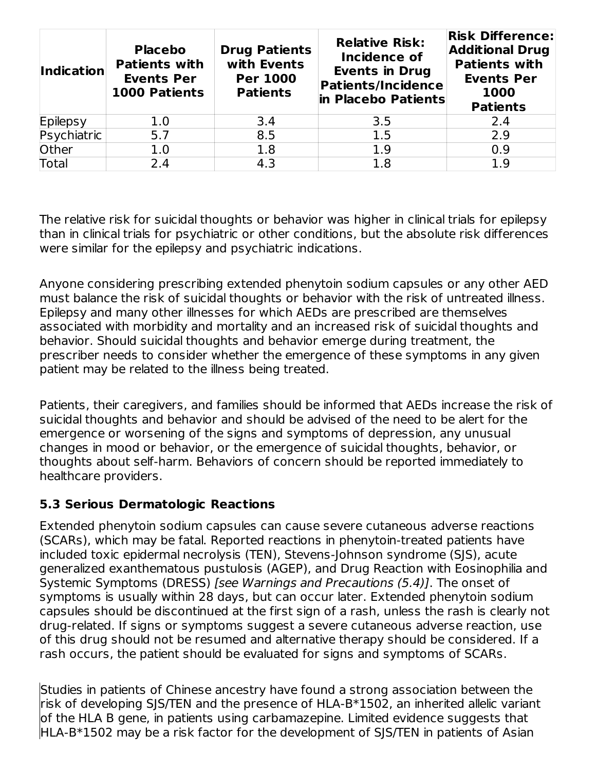| <b>Indication</b> | <b>Placebo</b><br><b>Patients with</b><br><b>Events Per</b><br><b>1000 Patients</b> | <b>Drug Patients</b><br>with Events<br><b>Per 1000</b><br><b>Patients</b> | <b>Relative Risk:</b><br>Incidence of<br><b>Events in Drug</b><br><b>Patients/Incidence</b><br>in Placebo Patients | <b>Risk Difference:</b><br><b>Additional Drug</b><br><b>Patients with</b><br><b>Events Per</b><br>1000<br><b>Patients</b> |
|-------------------|-------------------------------------------------------------------------------------|---------------------------------------------------------------------------|--------------------------------------------------------------------------------------------------------------------|---------------------------------------------------------------------------------------------------------------------------|
| Epilepsy          | 1.0                                                                                 | 3.4                                                                       | 3.5                                                                                                                | 2.4                                                                                                                       |
| Psychiatric       | 5.7                                                                                 | 8.5                                                                       | 1.5                                                                                                                | 2.9                                                                                                                       |
| Other             | 1.0                                                                                 | 1.8                                                                       | 1.9                                                                                                                | 0.9                                                                                                                       |
| <b>Total</b>      | 2.4                                                                                 | 4.3                                                                       | 1.8                                                                                                                | 1.9                                                                                                                       |

The relative risk for suicidal thoughts or behavior was higher in clinical trials for epilepsy than in clinical trials for psychiatric or other conditions, but the absolute risk differences were similar for the epilepsy and psychiatric indications.

Anyone considering prescribing extended phenytoin sodium capsules or any other AED must balance the risk of suicidal thoughts or behavior with the risk of untreated illness. Epilepsy and many other illnesses for which AEDs are prescribed are themselves associated with morbidity and mortality and an increased risk of suicidal thoughts and behavior. Should suicidal thoughts and behavior emerge during treatment, the prescriber needs to consider whether the emergence of these symptoms in any given patient may be related to the illness being treated.

Patients, their caregivers, and families should be informed that AEDs increase the risk of suicidal thoughts and behavior and should be advised of the need to be alert for the emergence or worsening of the signs and symptoms of depression, any unusual changes in mood or behavior, or the emergence of suicidal thoughts, behavior, or thoughts about self-harm. Behaviors of concern should be reported immediately to healthcare providers.

# **5.3 Serious Dermatologic Reactions**

Extended phenytoin sodium capsules can cause severe cutaneous adverse reactions (SCARs), which may be fatal. Reported reactions in phenytoin-treated patients have included toxic epidermal necrolysis (TEN), Stevens-Johnson syndrome (SJS), acute generalized exanthematous pustulosis (AGEP), and Drug Reaction with Eosinophilia and Systemic Symptoms (DRESS) [see Warnings and Precautions (5.4)]. The onset of symptoms is usually within 28 days, but can occur later. Extended phenytoin sodium capsules should be discontinued at the first sign of a rash, unless the rash is clearly not drug-related. If signs or symptoms suggest a severe cutaneous adverse reaction, use of this drug should not be resumed and alternative therapy should be considered. If a rash occurs, the patient should be evaluated for signs and symptoms of SCARs.

Studies in patients of Chinese ancestry have found a strong association between the risk of developing SJS/TEN and the presence of HLA-B\*1502, an inherited allelic variant of the HLA B gene, in patients using carbamazepine. Limited evidence suggests that HLA-B\*1502 may be a risk factor for the development of SJS/TEN in patients of Asian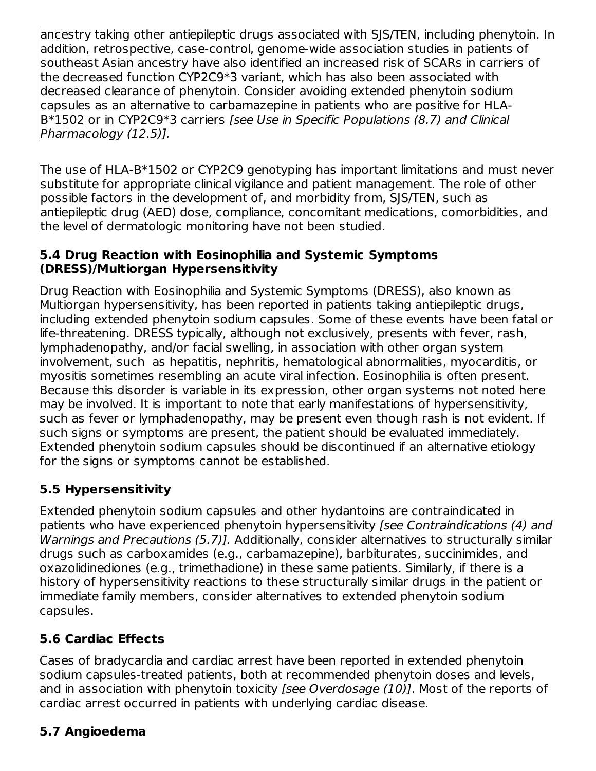ancestry taking other antiepileptic drugs associated with SJS/TEN, including phenytoin. In addition, retrospective, case-control, genome-wide association studies in patients of southeast Asian ancestry have also identified an increased risk of SCARs in carriers of the decreased function CYP2C9\*3 variant, which has also been associated with decreased clearance of phenytoin. Consider avoiding extended phenytoin sodium capsules as an alternative to carbamazepine in patients who are positive for HLA-B\*1502 or in CYP2C9\*3 carriers [see Use in Specific Populations (8.7) and Clinical Pharmacology (12.5)].

The use of HLA-B\*1502 or CYP2C9 genotyping has important limitations and must never substitute for appropriate clinical vigilance and patient management. The role of other possible factors in the development of, and morbidity from, SJS/TEN, such as antiepileptic drug (AED) dose, compliance, concomitant medications, comorbidities, and the level of dermatologic monitoring have not been studied.

### **5.4 Drug Reaction with Eosinophilia and Systemic Symptoms (DRESS)/Multiorgan Hypersensitivity**

Drug Reaction with Eosinophilia and Systemic Symptoms (DRESS), also known as Multiorgan hypersensitivity, has been reported in patients taking antiepileptic drugs, including extended phenytoin sodium capsules. Some of these events have been fatal or life-threatening. DRESS typically, although not exclusively, presents with fever, rash, lymphadenopathy, and/or facial swelling, in association with other organ system involvement, such as hepatitis, nephritis, hematological abnormalities, myocarditis, or myositis sometimes resembling an acute viral infection. Eosinophilia is often present. Because this disorder is variable in its expression, other organ systems not noted here may be involved. It is important to note that early manifestations of hypersensitivity, such as fever or lymphadenopathy, may be present even though rash is not evident. If such signs or symptoms are present, the patient should be evaluated immediately. Extended phenytoin sodium capsules should be discontinued if an alternative etiology for the signs or symptoms cannot be established.

# **5.5 Hypersensitivity**

Extended phenytoin sodium capsules and other hydantoins are contraindicated in patients who have experienced phenytoin hypersensitivity [see Contraindications (4) and Warnings and Precautions (5.7)]. Additionally, consider alternatives to structurally similar drugs such as carboxamides (e.g., carbamazepine), barbiturates, succinimides, and oxazolidinediones (e.g., trimethadione) in these same patients. Similarly, if there is a history of hypersensitivity reactions to these structurally similar drugs in the patient or immediate family members, consider alternatives to extended phenytoin sodium capsules.

# **5.6 Cardiac Effects**

Cases of bradycardia and cardiac arrest have been reported in extended phenytoin sodium capsules-treated patients, both at recommended phenytoin doses and levels, and in association with phenytoin toxicity [see Overdosage (10)]. Most of the reports of cardiac arrest occurred in patients with underlying cardiac disease.

# **5.7 Angioedema**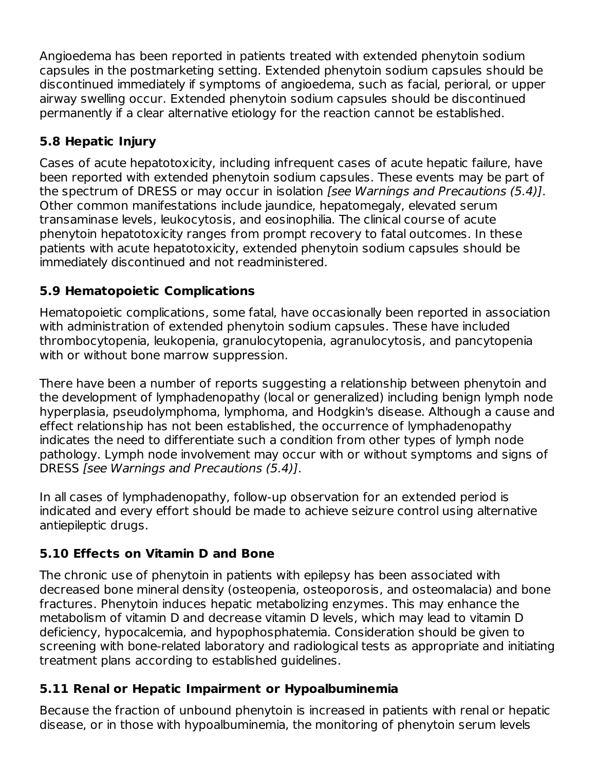Angioedema has been reported in patients treated with extended phenytoin sodium capsules in the postmarketing setting. Extended phenytoin sodium capsules should be discontinued immediately if symptoms of angioedema, such as facial, perioral, or upper airway swelling occur. Extended phenytoin sodium capsules should be discontinued permanently if a clear alternative etiology for the reaction cannot be established.

# **5.8 Hepatic Injury**

Cases of acute hepatotoxicity, including infrequent cases of acute hepatic failure, have been reported with extended phenytoin sodium capsules. These events may be part of the spectrum of DRESS or may occur in isolation [see Warnings and Precautions (5.4)]. Other common manifestations include jaundice, hepatomegaly, elevated serum transaminase levels, leukocytosis, and eosinophilia. The clinical course of acute phenytoin hepatotoxicity ranges from prompt recovery to fatal outcomes. In these patients with acute hepatotoxicity, extended phenytoin sodium capsules should be immediately discontinued and not readministered.

# **5.9 Hematopoietic Complications**

Hematopoietic complications, some fatal, have occasionally been reported in association with administration of extended phenytoin sodium capsules. These have included thrombocytopenia, leukopenia, granulocytopenia, agranulocytosis, and pancytopenia with or without bone marrow suppression.

There have been a number of reports suggesting a relationship between phenytoin and the development of lymphadenopathy (local or generalized) including benign lymph node hyperplasia, pseudolymphoma, lymphoma, and Hodgkin's disease. Although a cause and effect relationship has not been established, the occurrence of lymphadenopathy indicates the need to differentiate such a condition from other types of lymph node pathology. Lymph node involvement may occur with or without symptoms and signs of DRESS [see Warnings and Precautions (5.4)].

In all cases of lymphadenopathy, follow-up observation for an extended period is indicated and every effort should be made to achieve seizure control using alternative antiepileptic drugs.

# **5.10 Effects on Vitamin D and Bone**

The chronic use of phenytoin in patients with epilepsy has been associated with decreased bone mineral density (osteopenia, osteoporosis, and osteomalacia) and bone fractures. Phenytoin induces hepatic metabolizing enzymes. This may enhance the metabolism of vitamin D and decrease vitamin D levels, which may lead to vitamin D deficiency, hypocalcemia, and hypophosphatemia. Consideration should be given to screening with bone-related laboratory and radiological tests as appropriate and initiating treatment plans according to established guidelines.

# **5.11 Renal or Hepatic Impairment or Hypoalbuminemia**

Because the fraction of unbound phenytoin is increased in patients with renal or hepatic disease, or in those with hypoalbuminemia, the monitoring of phenytoin serum levels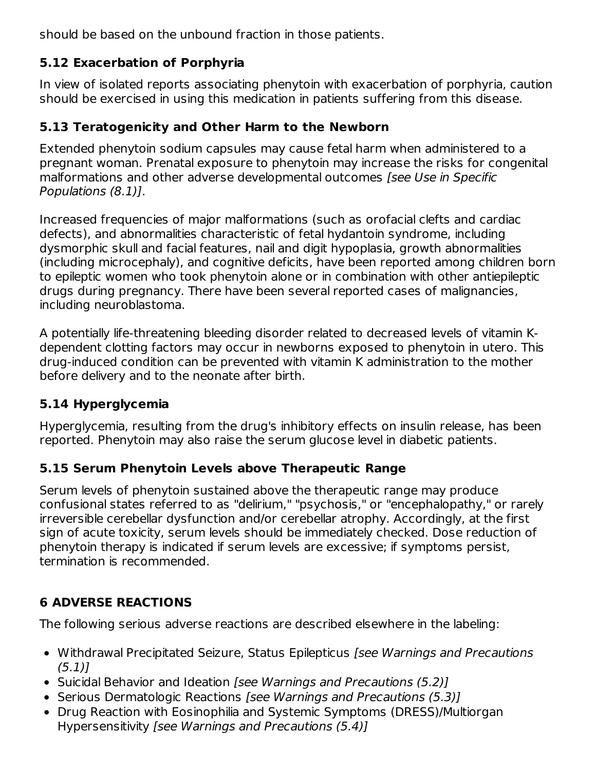should be based on the unbound fraction in those patients.

# **5.12 Exacerbation of Porphyria**

In view of isolated reports associating phenytoin with exacerbation of porphyria, caution should be exercised in using this medication in patients suffering from this disease.

# **5.13 Teratogenicity and Other Harm to the Newborn**

Extended phenytoin sodium capsules may cause fetal harm when administered to a pregnant woman. Prenatal exposure to phenytoin may increase the risks for congenital malformations and other adverse developmental outcomes [see Use in Specific Populations (8.1)].

Increased frequencies of major malformations (such as orofacial clefts and cardiac defects), and abnormalities characteristic of fetal hydantoin syndrome, including dysmorphic skull and facial features, nail and digit hypoplasia, growth abnormalities (including microcephaly), and cognitive deficits, have been reported among children born to epileptic women who took phenytoin alone or in combination with other antiepileptic drugs during pregnancy. There have been several reported cases of malignancies, including neuroblastoma.

A potentially life-threatening bleeding disorder related to decreased levels of vitamin Kdependent clotting factors may occur in newborns exposed to phenytoin in utero. This drug-induced condition can be prevented with vitamin K administration to the mother before delivery and to the neonate after birth.

# **5.14 Hyperglycemia**

Hyperglycemia, resulting from the drug's inhibitory effects on insulin release, has been reported. Phenytoin may also raise the serum glucose level in diabetic patients.

# **5.15 Serum Phenytoin Levels above Therapeutic Range**

Serum levels of phenytoin sustained above the therapeutic range may produce confusional states referred to as "delirium," "psychosis," or "encephalopathy," or rarely irreversible cerebellar dysfunction and/or cerebellar atrophy. Accordingly, at the first sign of acute toxicity, serum levels should be immediately checked. Dose reduction of phenytoin therapy is indicated if serum levels are excessive; if symptoms persist, termination is recommended.

# **6 ADVERSE REACTIONS**

The following serious adverse reactions are described elsewhere in the labeling:

- Withdrawal Precipitated Seizure, Status Epilepticus [see Warnings and Precautions  $(5.1)$
- Suicidal Behavior and Ideation [see Warnings and Precautions (5.2)]
- Serious Dermatologic Reactions [see Warnings and Precautions (5.3)]
- Drug Reaction with Eosinophilia and Systemic Symptoms (DRESS)/Multiorgan Hypersensitivity [see Warnings and Precautions (5.4)]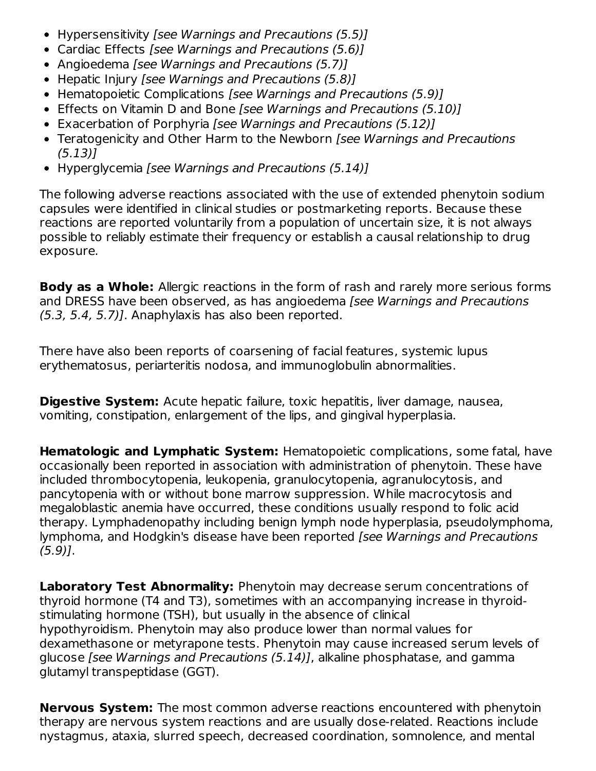- Hypersensitivity [see Warnings and Precautions (5.5)]
- Cardiac Effects [see Warnings and Precautions (5.6)]
- Angioedema [see Warnings and Precautions (5.7)]
- Hepatic Injury [see Warnings and Precautions (5.8)]
- Hematopoietic Complications [see Warnings and Precautions (5.9)]
- Effects on Vitamin D and Bone [see Warnings and Precautions (5.10)]
- Exacerbation of Porphyria [see Warnings and Precautions (5.12)]
- Teratogenicity and Other Harm to the Newborn [see Warnings and Precautions (5.13)]
- Hyperglycemia [see Warnings and Precautions (5.14)]

The following adverse reactions associated with the use of extended phenytoin sodium capsules were identified in clinical studies or postmarketing reports. Because these reactions are reported voluntarily from a population of uncertain size, it is not always possible to reliably estimate their frequency or establish a causal relationship to drug exposure.

**Body as a Whole:** Allergic reactions in the form of rash and rarely more serious forms and DRESS have been observed, as has angioedema [see Warnings and Precautions (5.3, 5.4, 5.7)]. Anaphylaxis has also been reported.

There have also been reports of coarsening of facial features, systemic lupus erythematosus, periarteritis nodosa, and immunoglobulin abnormalities.

**Digestive System:** Acute hepatic failure, toxic hepatitis, liver damage, nausea, vomiting, constipation, enlargement of the lips, and gingival hyperplasia.

**Hematologic and Lymphatic System:** Hematopoietic complications, some fatal, have occasionally been reported in association with administration of phenytoin. These have included thrombocytopenia, leukopenia, granulocytopenia, agranulocytosis, and pancytopenia with or without bone marrow suppression. While macrocytosis and megaloblastic anemia have occurred, these conditions usually respond to folic acid therapy. Lymphadenopathy including benign lymph node hyperplasia, pseudolymphoma, lymphoma, and Hodgkin's disease have been reported [see Warnings and Precautions  $(5.9)$ ].

**Laboratory Test Abnormality:** Phenytoin may decrease serum concentrations of thyroid hormone (T4 and T3), sometimes with an accompanying increase in thyroidstimulating hormone (TSH), but usually in the absence of clinical hypothyroidism. Phenytoin may also produce lower than normal values for dexamethasone or metyrapone tests. Phenytoin may cause increased serum levels of glucose [see Warnings and Precautions (5.14)], alkaline phosphatase, and gamma glutamyl transpeptidase (GGT).

**Nervous System:** The most common adverse reactions encountered with phenytoin therapy are nervous system reactions and are usually dose-related. Reactions include nystagmus, ataxia, slurred speech, decreased coordination, somnolence, and mental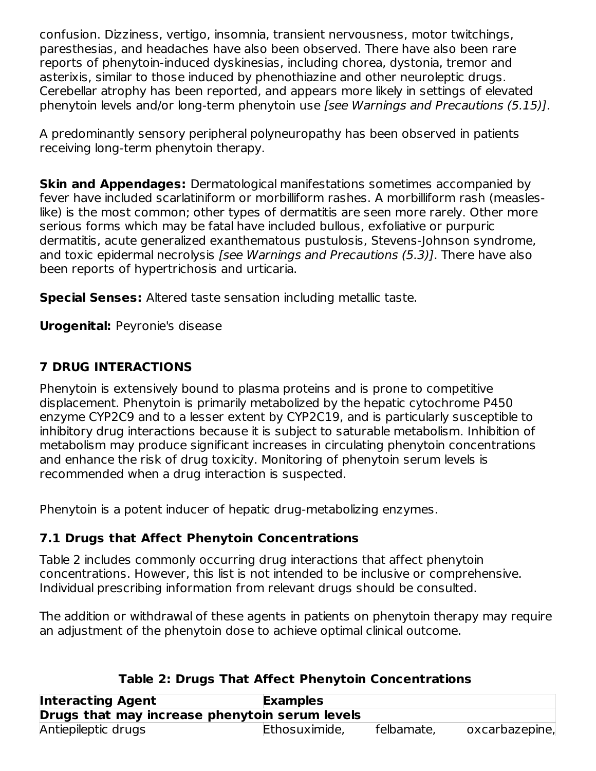confusion. Dizziness, vertigo, insomnia, transient nervousness, motor twitchings, paresthesias, and headaches have also been observed. There have also been rare reports of phenytoin-induced dyskinesias, including chorea, dystonia, tremor and asterixis, similar to those induced by phenothiazine and other neuroleptic drugs. Cerebellar atrophy has been reported, and appears more likely in settings of elevated phenytoin levels and/or long-term phenytoin use [see Warnings and Precautions (5.15)].

A predominantly sensory peripheral polyneuropathy has been observed in patients receiving long-term phenytoin therapy.

**Skin and Appendages:** Dermatological manifestations sometimes accompanied by fever have included scarlatiniform or morbilliform rashes. A morbilliform rash (measleslike) is the most common; other types of dermatitis are seen more rarely. Other more serious forms which may be fatal have included bullous, exfoliative or purpuric dermatitis, acute generalized exanthematous pustulosis, Stevens-Johnson syndrome, and toxic epidermal necrolysis [see Warnings and Precautions (5.3)]. There have also been reports of hypertrichosis and urticaria.

**Special Senses:** Altered taste sensation including metallic taste.

**Urogenital:** Peyronie's disease

# **7 DRUG INTERACTIONS**

Phenytoin is extensively bound to plasma proteins and is prone to competitive displacement. Phenytoin is primarily metabolized by the hepatic cytochrome P450 enzyme CYP2C9 and to a lesser extent by CYP2C19, and is particularly susceptible to inhibitory drug interactions because it is subject to saturable metabolism. Inhibition of metabolism may produce significant increases in circulating phenytoin concentrations and enhance the risk of drug toxicity. Monitoring of phenytoin serum levels is recommended when a drug interaction is suspected.

Phenytoin is a potent inducer of hepatic drug-metabolizing enzymes.

# **7.1 Drugs that Affect Phenytoin Concentrations**

Table 2 includes commonly occurring drug interactions that affect phenytoin concentrations. However, this list is not intended to be inclusive or comprehensive. Individual prescribing information from relevant drugs should be consulted.

The addition or withdrawal of these agents in patients on phenytoin therapy may require an adjustment of the phenytoin dose to achieve optimal clinical outcome.

| <b>Interacting Agent</b><br><b>Examples</b>    |               |            |                |  |
|------------------------------------------------|---------------|------------|----------------|--|
| Drugs that may increase phenytoin serum levels |               |            |                |  |
| Antiepileptic drugs                            | Ethosuximide, | felbamate, | oxcarbazepine, |  |

# **Table 2: Drugs That Affect Phenytoin Concentrations**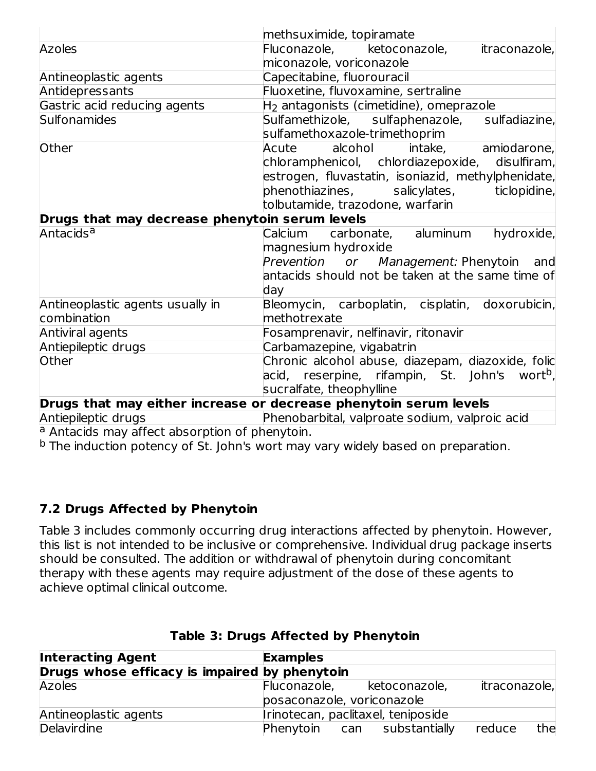|                                                                                          | methsuximide, topiramate                                          |  |  |
|------------------------------------------------------------------------------------------|-------------------------------------------------------------------|--|--|
| <b>Azoles</b>                                                                            | itraconazole,<br>Fluconazole, ketoconazole,                       |  |  |
|                                                                                          | miconazole, voriconazole                                          |  |  |
| Antineoplastic agents                                                                    | Capecitabine, fluorouracil                                        |  |  |
| Antidepressants                                                                          | Fluoxetine, fluvoxamine, sertraline                               |  |  |
| Gastric acid reducing agents                                                             | H <sub>2</sub> antagonists (cimetidine), omeprazole               |  |  |
| <b>Sulfonamides</b>                                                                      | Sulfamethizole, sulfaphenazole, sulfadiazine,                     |  |  |
|                                                                                          | sulfamethoxazole-trimethoprim                                     |  |  |
| Other                                                                                    | amiodarone,<br>alcohol<br>intake,<br>Acute                        |  |  |
|                                                                                          | chloramphenicol, chlordiazepoxide, disulfiram,                    |  |  |
|                                                                                          | estrogen, fluvastatin, isoniazid, methylphenidate,                |  |  |
|                                                                                          | phenothiazines,              salicylates,<br>ticlopidine,         |  |  |
|                                                                                          | tolbutamide, trazodone, warfarin                                  |  |  |
| Drugs that may decrease phenytoin serum levels                                           |                                                                   |  |  |
| Antacids <sup>a</sup>                                                                    | Calcium carbonate, aluminum<br>hydroxide,                         |  |  |
|                                                                                          | magnesium hydroxide                                               |  |  |
|                                                                                          | Prevention or Management: Phenytoin and                           |  |  |
|                                                                                          | antacids should not be taken at the same time of                  |  |  |
|                                                                                          | day                                                               |  |  |
| Antineoplastic agents usually in                                                         | Bleomycin, carboplatin, cisplatin, doxorubicin,                   |  |  |
| combination                                                                              | methotrexate                                                      |  |  |
| Antiviral agents                                                                         | Fosamprenavir, nelfinavir, ritonavir                              |  |  |
| Antiepileptic drugs                                                                      | Carbamazepine, vigabatrin                                         |  |  |
| Other                                                                                    | Chronic alcohol abuse, diazepam, diazoxide, folic                 |  |  |
|                                                                                          | acid, reserpine, rifampin, St. John's wort <sup>b</sup> ,         |  |  |
|                                                                                          | sucralfate, theophylline                                          |  |  |
|                                                                                          | Drugs that may either increase or decrease phenytoin serum levels |  |  |
| ومتمرد بمرام والطميما المرماطين فالمتح<br>Dhanahaykkal waliozaata aadiiyoo waliozaa aali |                                                                   |  |  |

Antiepileptic drugs Phenobarbital, valproate sodium, valproic acid

<sup>a</sup> Antacids may affect absorption of phenytoin.

<sup>b</sup> The induction potency of St. John's wort may vary widely based on preparation.

# **7.2 Drugs Affected by Phenytoin**

Table 3 includes commonly occurring drug interactions affected by phenytoin. However, this list is not intended to be inclusive or comprehensive. Individual drug package inserts should be consulted. The addition or withdrawal of phenytoin during concomitant therapy with these agents may require adjustment of the dose of these agents to achieve optimal clinical outcome.

| <b>Interacting Agent</b>                      | <b>Examples</b>            |                                    |               |     |
|-----------------------------------------------|----------------------------|------------------------------------|---------------|-----|
| Drugs whose efficacy is impaired by phenytoin |                            |                                    |               |     |
| <b>Azoles</b>                                 | Fluconazole,               | ketoconazole,                      | itraconazole, |     |
|                                               | posaconazole, voriconazole |                                    |               |     |
| Antineoplastic agents                         |                            | Irinotecan, paclitaxel, teniposide |               |     |
| Delavirdine                                   |                            | Phenytoin can substantially        | reduce        | the |

# **Table 3: Drugs Affected by Phenytoin**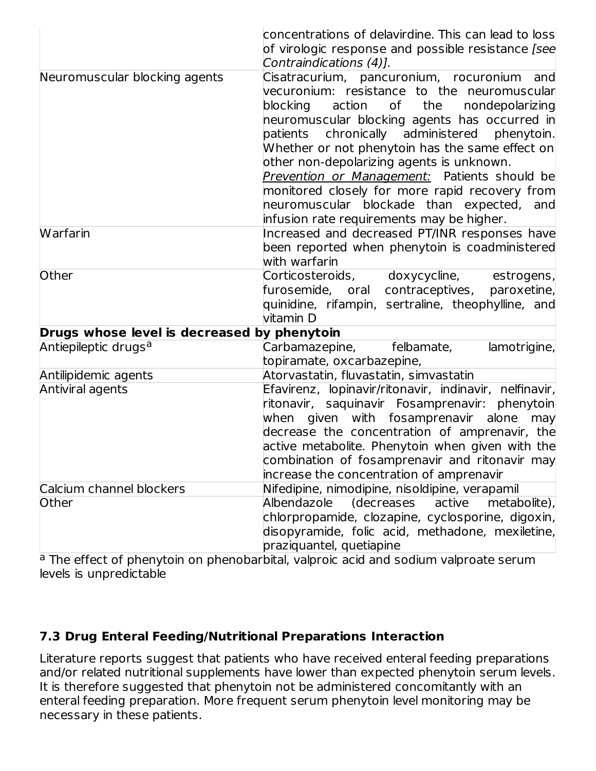|                                             | concentrations of delavirdine. This can lead to loss<br>of virologic response and possible resistance [see<br>Contraindications (4)].                                                                                                                                                                                                                                                                                                                                                                                                        |
|---------------------------------------------|----------------------------------------------------------------------------------------------------------------------------------------------------------------------------------------------------------------------------------------------------------------------------------------------------------------------------------------------------------------------------------------------------------------------------------------------------------------------------------------------------------------------------------------------|
| Neuromuscular blocking agents               | Cisatracurium, pancuronium, rocuronium and<br>vecuronium: resistance to the neuromuscular<br>blocking<br>of the<br>action<br>nondepolarizing<br>neuromuscular blocking agents has occurred in<br>chronically administered phenytoin.<br>patients<br>Whether or not phenytoin has the same effect on<br>other non-depolarizing agents is unknown.<br>Prevention or Management: Patients should be<br>monitored closely for more rapid recovery from<br>neuromuscular blockade than expected, and<br>infusion rate requirements may be higher. |
| <b>Warfarin</b>                             | Increased and decreased PT/INR responses have<br>been reported when phenytoin is coadministered<br>with warfarin                                                                                                                                                                                                                                                                                                                                                                                                                             |
| Other                                       | Corticosteroids, doxycycline,<br>estrogens,<br>furosemide, oral contraceptives,<br>paroxetine,<br>quinidine, rifampin, sertraline, theophylline, and<br>vitamin D                                                                                                                                                                                                                                                                                                                                                                            |
| Drugs whose level is decreased by phenytoin |                                                                                                                                                                                                                                                                                                                                                                                                                                                                                                                                              |
| Antiepileptic drugs <sup>a</sup>            | Carbamazepine,<br>felbamate,<br>lamotrigine,<br>topiramate, oxcarbazepine,                                                                                                                                                                                                                                                                                                                                                                                                                                                                   |
| Antilipidemic agents                        | Atorvastatin, fluvastatin, simvastatin                                                                                                                                                                                                                                                                                                                                                                                                                                                                                                       |
| Antiviral agents                            | Efavirenz, lopinavir/ritonavir, indinavir, nelfinavir,<br>ritonavir, saquinavir Fosamprenavir: phenytoin<br>when given with fosamprenavir alone<br>may<br>decrease the concentration of amprenavir, the<br>active metabolite. Phenytoin when given with the<br>combination of fosamprenavir and ritonavir may<br>increase the concentration of amprenavir                                                                                                                                                                                    |
| Calcium channel blockers                    | Nifedipine, nimodipine, nisoldipine, verapamil                                                                                                                                                                                                                                                                                                                                                                                                                                                                                               |
| Other                                       | Albendazole<br>(decreases active<br>metabolite),<br>chlorpropamide, clozapine, cyclosporine, digoxin,<br>disopyramide, folic acid, methadone, mexiletine,<br>praziquantel, quetiapine                                                                                                                                                                                                                                                                                                                                                        |

<sup>a</sup> The effect of phenytoin on phenobarbital, valproic acid and sodium valproate serum levels is unpredictable

# **7.3 Drug Enteral Feeding/Nutritional Preparations Interaction**

Literature reports suggest that patients who have received enteral feeding preparations and/or related nutritional supplements have lower than expected phenytoin serum levels. It is therefore suggested that phenytoin not be administered concomitantly with an enteral feeding preparation. More frequent serum phenytoin level monitoring may be necessary in these patients.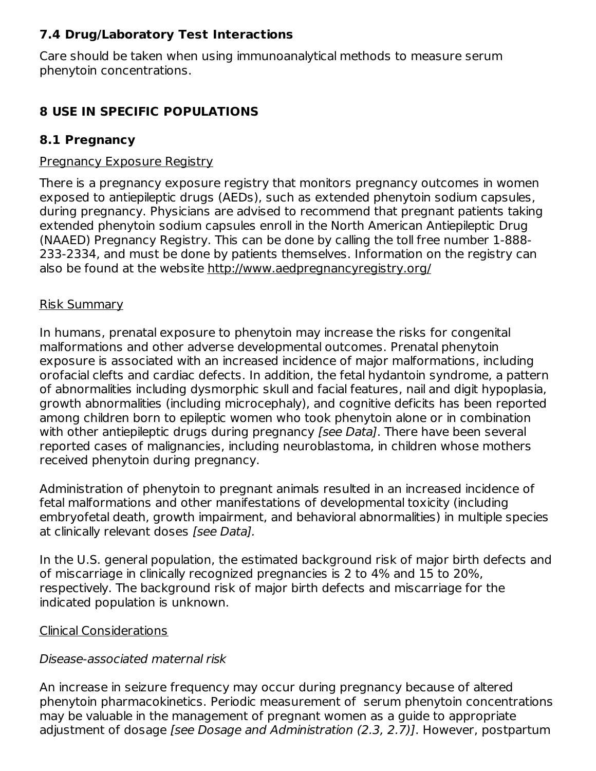### **7.4 Drug/Laboratory Test Interactions**

Care should be taken when using immunoanalytical methods to measure serum phenytoin concentrations.

### **8 USE IN SPECIFIC POPULATIONS**

### **8.1 Pregnancy**

#### Pregnancy Exposure Registry

There is a pregnancy exposure registry that monitors pregnancy outcomes in women exposed to antiepileptic drugs (AEDs), such as extended phenytoin sodium capsules, during pregnancy. Physicians are advised to recommend that pregnant patients taking extended phenytoin sodium capsules enroll in the North American Antiepileptic Drug (NAAED) Pregnancy Registry. This can be done by calling the toll free number 1-888- 233-2334, and must be done by patients themselves. Information on the registry can also be found at the website http://www.aedpregnancyregistry.org/

#### Risk Summary

In humans, prenatal exposure to phenytoin may increase the risks for congenital malformations and other adverse developmental outcomes. Prenatal phenytoin exposure is associated with an increased incidence of major malformations, including orofacial clefts and cardiac defects. In addition, the fetal hydantoin syndrome, a pattern of abnormalities including dysmorphic skull and facial features, nail and digit hypoplasia, growth abnormalities (including microcephaly), and cognitive deficits has been reported among children born to epileptic women who took phenytoin alone or in combination with other antiepileptic drugs during pregnancy [see Data]. There have been several reported cases of malignancies, including neuroblastoma, in children whose mothers received phenytoin during pregnancy.

Administration of phenytoin to pregnant animals resulted in an increased incidence of fetal malformations and other manifestations of developmental toxicity (including embryofetal death, growth impairment, and behavioral abnormalities) in multiple species at clinically relevant doses [see Data].

In the U.S. general population, the estimated background risk of major birth defects and of miscarriage in clinically recognized pregnancies is 2 to 4% and 15 to 20%, respectively. The background risk of major birth defects and miscarriage for the indicated population is unknown.

### Clinical Considerations

### Disease-associated maternal risk

An increase in seizure frequency may occur during pregnancy because of altered phenytoin pharmacokinetics. Periodic measurement of serum phenytoin concentrations may be valuable in the management of pregnant women as a guide to appropriate adjustment of dosage *[see Dosage and Administration (2.3, 2.7)]*. However, postpartum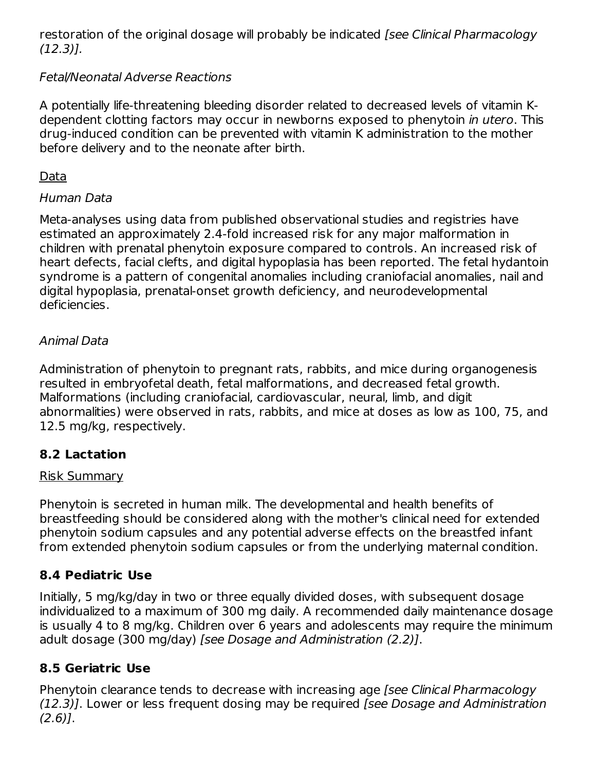restoration of the original dosage will probably be indicated *[see Clinical Pharmacology* (12.3)].

# Fetal/Neonatal Adverse Reactions

A potentially life-threatening bleeding disorder related to decreased levels of vitamin Kdependent clotting factors may occur in newborns exposed to phenytoin in utero. This drug-induced condition can be prevented with vitamin K administration to the mother before delivery and to the neonate after birth.

# Data

# Human Data

Meta-analyses using data from published observational studies and registries have estimated an approximately 2.4-fold increased risk for any major malformation in children with prenatal phenytoin exposure compared to controls. An increased risk of heart defects, facial clefts, and digital hypoplasia has been reported. The fetal hydantoin syndrome is a pattern of congenital anomalies including craniofacial anomalies, nail and digital hypoplasia, prenatal-onset growth deficiency, and neurodevelopmental deficiencies.

# Animal Data

Administration of phenytoin to pregnant rats, rabbits, and mice during organogenesis resulted in embryofetal death, fetal malformations, and decreased fetal growth. Malformations (including craniofacial, cardiovascular, neural, limb, and digit abnormalities) were observed in rats, rabbits, and mice at doses as low as 100, 75, and 12.5 mg/kg, respectively.

# **8.2 Lactation**

### Risk Summary

Phenytoin is secreted in human milk. The developmental and health benefits of breastfeeding should be considered along with the mother's clinical need for extended phenytoin sodium capsules and any potential adverse effects on the breastfed infant from extended phenytoin sodium capsules or from the underlying maternal condition.

# **8.4 Pediatric Use**

Initially, 5 mg/kg/day in two or three equally divided doses, with subsequent dosage individualized to a maximum of 300 mg daily. A recommended daily maintenance dosage is usually 4 to 8 mg/kg. Children over 6 years and adolescents may require the minimum adult dosage (300 mg/day) [see Dosage and Administration (2.2)].

# **8.5 Geriatric Use**

Phenytoin clearance tends to decrease with increasing age [see Clinical Pharmacology (12.3)]. Lower or less frequent dosing may be required [see Dosage and Administration  $(2.6)$ ].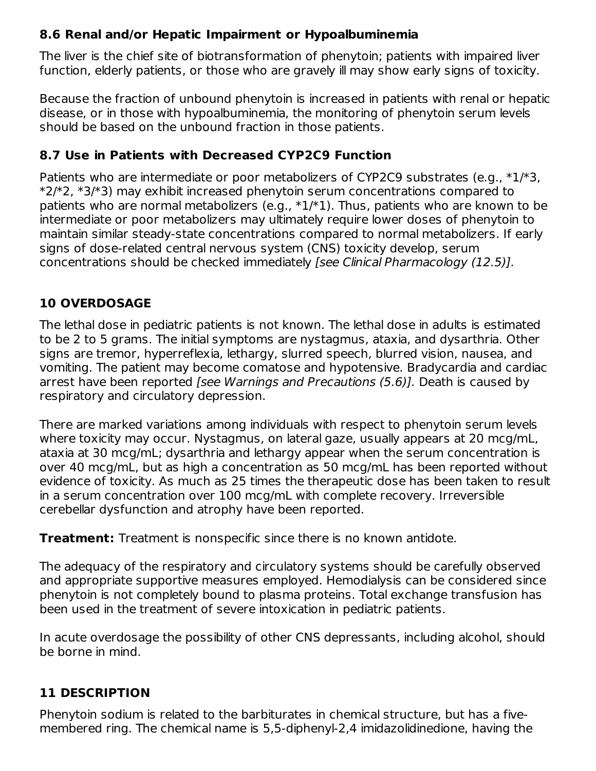# **8.6 Renal and/or Hepatic Impairment or Hypoalbuminemia**

The liver is the chief site of biotransformation of phenytoin; patients with impaired liver function, elderly patients, or those who are gravely ill may show early signs of toxicity.

Because the fraction of unbound phenytoin is increased in patients with renal or hepatic disease, or in those with hypoalbuminemia, the monitoring of phenytoin serum levels should be based on the unbound fraction in those patients.

### **8.7 Use in Patients with Decreased CYP2C9 Function**

Patients who are intermediate or poor metabolizers of CYP2C9 substrates (e.g.,  $*1/*3$ , \*2/\*2, \*3/\*3) may exhibit increased phenytoin serum concentrations compared to patients who are normal metabolizers (e.g.,  $*1/*1$ ). Thus, patients who are known to be intermediate or poor metabolizers may ultimately require lower doses of phenytoin to maintain similar steady-state concentrations compared to normal metabolizers. If early signs of dose-related central nervous system (CNS) toxicity develop, serum concentrations should be checked immediately [see Clinical Pharmacology (12.5)].

# **10 OVERDOSAGE**

The lethal dose in pediatric patients is not known. The lethal dose in adults is estimated to be 2 to 5 grams. The initial symptoms are nystagmus, ataxia, and dysarthria. Other signs are tremor, hyperreflexia, lethargy, slurred speech, blurred vision, nausea, and vomiting. The patient may become comatose and hypotensive. Bradycardia and cardiac arrest have been reported [see Warnings and Precautions (5.6)]. Death is caused by respiratory and circulatory depression.

There are marked variations among individuals with respect to phenytoin serum levels where toxicity may occur. Nystagmus, on lateral gaze, usually appears at 20 mcg/mL, ataxia at 30 mcg/mL; dysarthria and lethargy appear when the serum concentration is over 40 mcg/mL, but as high a concentration as 50 mcg/mL has been reported without evidence of toxicity. As much as 25 times the therapeutic dose has been taken to result in a serum concentration over 100 mcg/mL with complete recovery. Irreversible cerebellar dysfunction and atrophy have been reported.

**Treatment:** Treatment is nonspecific since there is no known antidote.

The adequacy of the respiratory and circulatory systems should be carefully observed and appropriate supportive measures employed. Hemodialysis can be considered since phenytoin is not completely bound to plasma proteins. Total exchange transfusion has been used in the treatment of severe intoxication in pediatric patients.

In acute overdosage the possibility of other CNS depressants, including alcohol, should be borne in mind.

# **11 DESCRIPTION**

Phenytoin sodium is related to the barbiturates in chemical structure, but has a fivemembered ring. The chemical name is 5,5-diphenyl-2,4 imidazolidinedione, having the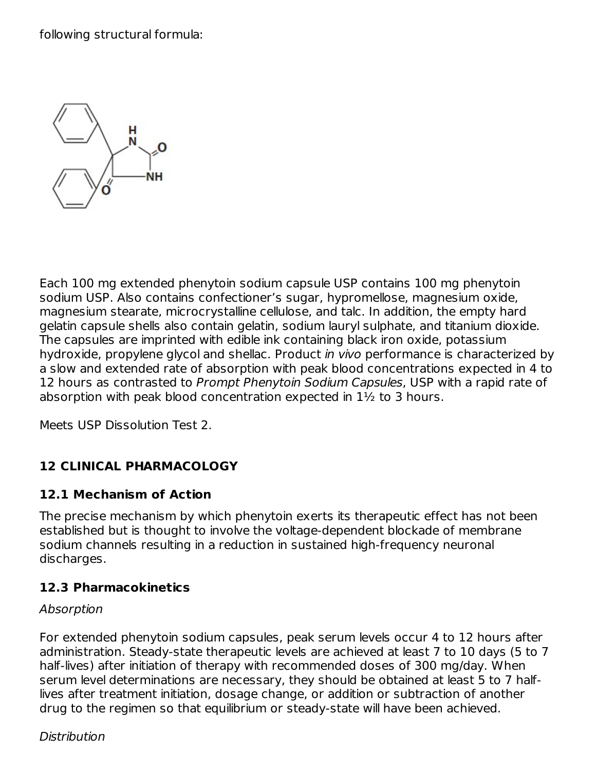following structural formula:



Each 100 mg extended phenytoin sodium capsule USP contains 100 mg phenytoin sodium USP. Also contains confectioner's sugar, hypromellose, magnesium oxide, magnesium stearate, microcrystalline cellulose, and talc. In addition, the empty hard gelatin capsule shells also contain gelatin, sodium lauryl sulphate, and titanium dioxide. The capsules are imprinted with edible ink containing black iron oxide, potassium hydroxide, propylene glycol and shellac. Product in vivo performance is characterized by a slow and extended rate of absorption with peak blood concentrations expected in 4 to 12 hours as contrasted to Prompt Phenytoin Sodium Capsules, USP with a rapid rate of absorption with peak blood concentration expected in 1½ to 3 hours.

Meets USP Dissolution Test 2.

# **12 CLINICAL PHARMACOLOGY**

### **12.1 Mechanism of Action**

The precise mechanism by which phenytoin exerts its therapeutic effect has not been established but is thought to involve the voltage-dependent blockade of membrane sodium channels resulting in a reduction in sustained high-frequency neuronal discharges.

# **12.3 Pharmacokinetics**

### Absorption

For extended phenytoin sodium capsules, peak serum levels occur 4 to 12 hours after administration. Steady-state therapeutic levels are achieved at least 7 to 10 days (5 to 7 half-lives) after initiation of therapy with recommended doses of 300 mg/day. When serum level determinations are necessary, they should be obtained at least 5 to 7 halflives after treatment initiation, dosage change, or addition or subtraction of another drug to the regimen so that equilibrium or steady-state will have been achieved.

### Distribution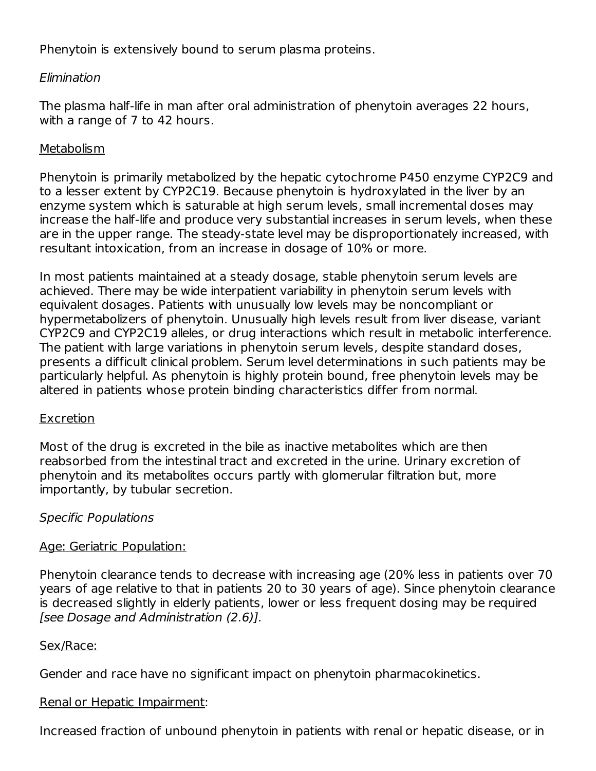Phenytoin is extensively bound to serum plasma proteins.

### Elimination

The plasma half-life in man after oral administration of phenytoin averages 22 hours, with a range of 7 to 42 hours.

### Metabolism

Phenytoin is primarily metabolized by the hepatic cytochrome P450 enzyme CYP2C9 and to a lesser extent by CYP2C19. Because phenytoin is hydroxylated in the liver by an enzyme system which is saturable at high serum levels, small incremental doses may increase the half-life and produce very substantial increases in serum levels, when these are in the upper range. The steady-state level may be disproportionately increased, with resultant intoxication, from an increase in dosage of 10% or more.

In most patients maintained at a steady dosage, stable phenytoin serum levels are achieved. There may be wide interpatient variability in phenytoin serum levels with equivalent dosages. Patients with unusually low levels may be noncompliant or hypermetabolizers of phenytoin. Unusually high levels result from liver disease, variant CYP2C9 and CYP2C19 alleles, or drug interactions which result in metabolic interference. The patient with large variations in phenytoin serum levels, despite standard doses, presents a difficult clinical problem. Serum level determinations in such patients may be particularly helpful. As phenytoin is highly protein bound, free phenytoin levels may be altered in patients whose protein binding characteristics differ from normal.

# Excretion

Most of the drug is excreted in the bile as inactive metabolites which are then reabsorbed from the intestinal tract and excreted in the urine. Urinary excretion of phenytoin and its metabolites occurs partly with glomerular filtration but, more importantly, by tubular secretion.

# Specific Populations

### Age: Geriatric Population:

Phenytoin clearance tends to decrease with increasing age (20% less in patients over 70 years of age relative to that in patients 20 to 30 years of age). Since phenytoin clearance is decreased slightly in elderly patients, lower or less frequent dosing may be required [see Dosage and Administration (2.6)].

### Sex/Race:

Gender and race have no significant impact on phenytoin pharmacokinetics.

# Renal or Hepatic Impairment:

Increased fraction of unbound phenytoin in patients with renal or hepatic disease, or in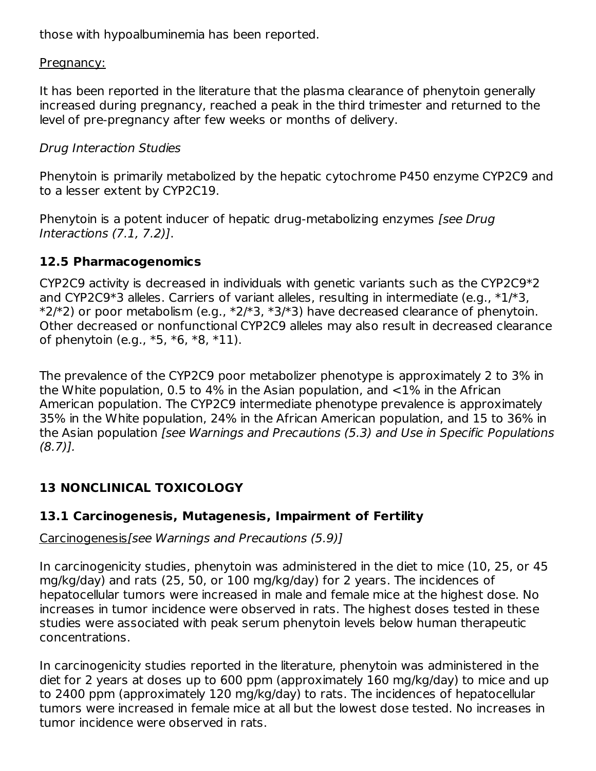those with hypoalbuminemia has been reported.

#### Pregnancy:

It has been reported in the literature that the plasma clearance of phenytoin generally increased during pregnancy, reached a peak in the third trimester and returned to the level of pre-pregnancy after few weeks or months of delivery.

### Drug Interaction Studies

Phenytoin is primarily metabolized by the hepatic cytochrome P450 enzyme CYP2C9 and to a lesser extent by CYP2C19.

Phenytoin is a potent inducer of hepatic drug-metabolizing enzymes [see Drug] Interactions (7.1, 7.2)].

### **12.5 Pharmacogenomics**

CYP2C9 activity is decreased in individuals with genetic variants such as the CYP2C9\*2 and CYP2C9\*3 alleles. Carriers of variant alleles, resulting in intermediate (e.g., \*1/\*3,  $*2/*2$ ) or poor metabolism (e.g.,  $*2/*3$ ,  $*3/*3$ ) have decreased clearance of phenytoin. Other decreased or nonfunctional CYP2C9 alleles may also result in decreased clearance of phenytoin (e.g., \*5, \*6, \*8, \*11).

The prevalence of the CYP2C9 poor metabolizer phenotype is approximately 2 to 3% in the White population, 0.5 to 4% in the Asian population, and <1% in the African American population. The CYP2C9 intermediate phenotype prevalence is approximately 35% in the White population, 24% in the African American population, and 15 to 36% in the Asian population [see Warnings and Precautions (5.3) and Use in Specific Populations  $(8.7)$ ].

# **13 NONCLINICAL TOXICOLOGY**

# **13.1 Carcinogenesis, Mutagenesis, Impairment of Fertility**

Carcinogenesis[see Warnings and Precautions (5.9)]

In carcinogenicity studies, phenytoin was administered in the diet to mice (10, 25, or 45 mg/kg/day) and rats (25, 50, or 100 mg/kg/day) for 2 years. The incidences of hepatocellular tumors were increased in male and female mice at the highest dose. No increases in tumor incidence were observed in rats. The highest doses tested in these studies were associated with peak serum phenytoin levels below human therapeutic concentrations.

In carcinogenicity studies reported in the literature, phenytoin was administered in the diet for 2 years at doses up to 600 ppm (approximately 160 mg/kg/day) to mice and up to 2400 ppm (approximately 120 mg/kg/day) to rats. The incidences of hepatocellular tumors were increased in female mice at all but the lowest dose tested. No increases in tumor incidence were observed in rats.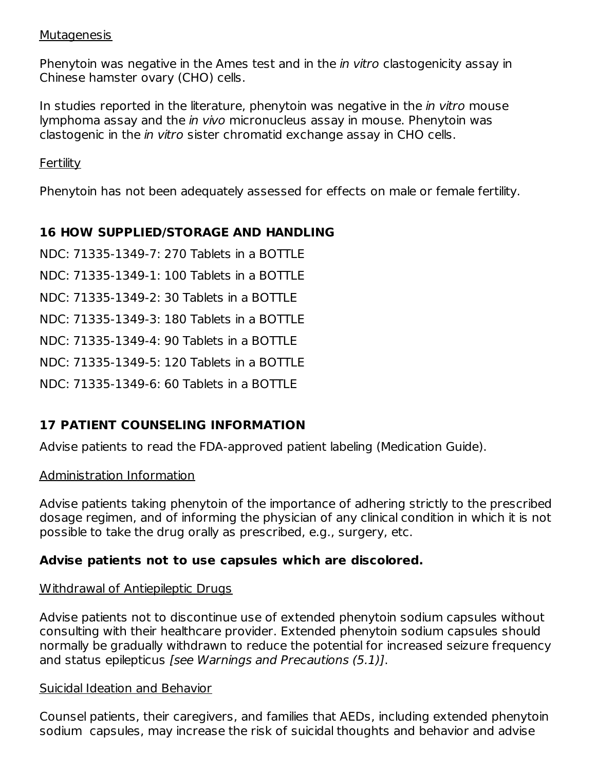#### Mutagenesis

Phenytoin was negative in the Ames test and in the *in vitro* clastogenicity assay in Chinese hamster ovary (CHO) cells.

In studies reported in the literature, phenytoin was negative in the *in vitro* mouse lymphoma assay and the in vivo micronucleus assay in mouse. Phenytoin was clastogenic in the in vitro sister chromatid exchange assay in CHO cells.

Fertility

Phenytoin has not been adequately assessed for effects on male or female fertility.

# **16 HOW SUPPLIED/STORAGE AND HANDLING**

NDC: 71335-1349-7: 270 Tablets in a BOTTLE

NDC: 71335-1349-1: 100 Tablets in a BOTTLE

NDC: 71335-1349-2: 30 Tablets in a BOTTLE

NDC: 71335-1349-3: 180 Tablets in a BOTTLE

NDC: 71335-1349-4: 90 Tablets in a BOTTLE

NDC: 71335-1349-5: 120 Tablets in a BOTTLE

NDC: 71335-1349-6: 60 Tablets in a BOTTLE

# **17 PATIENT COUNSELING INFORMATION**

Advise patients to read the FDA-approved patient labeling (Medication Guide).

### Administration Information

Advise patients taking phenytoin of the importance of adhering strictly to the prescribed dosage regimen, and of informing the physician of any clinical condition in which it is not possible to take the drug orally as prescribed, e.g., surgery, etc.

# **Advise patients not to use capsules which are discolored.**

### Withdrawal of Antiepileptic Drugs

Advise patients not to discontinue use of extended phenytoin sodium capsules without consulting with their healthcare provider. Extended phenytoin sodium capsules should normally be gradually withdrawn to reduce the potential for increased seizure frequency and status epilepticus [see Warnings and Precautions (5.1)].

### Suicidal Ideation and Behavior

Counsel patients, their caregivers, and families that AEDs, including extended phenytoin sodium capsules, may increase the risk of suicidal thoughts and behavior and advise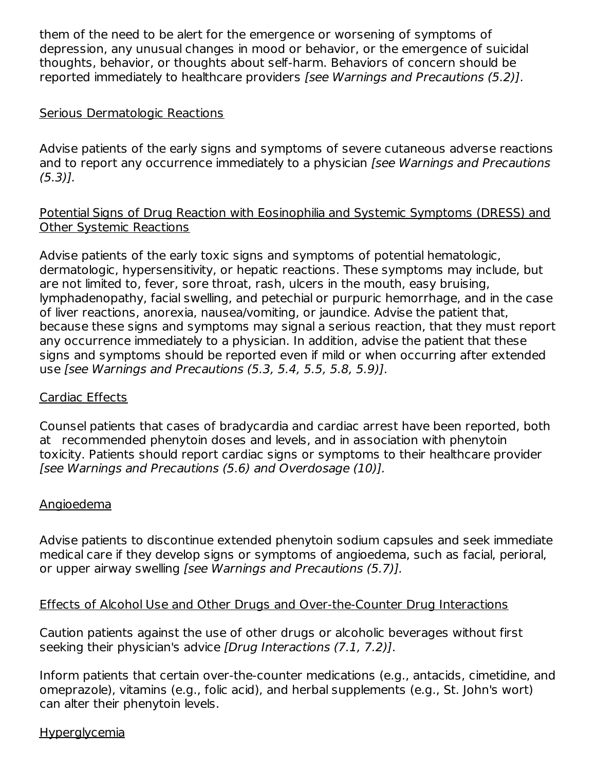them of the need to be alert for the emergence or worsening of symptoms of depression, any unusual changes in mood or behavior, or the emergence of suicidal thoughts, behavior, or thoughts about self-harm. Behaviors of concern should be reported immediately to healthcare providers [see Warnings and Precautions (5.2)].

### Serious Dermatologic Reactions

Advise patients of the early signs and symptoms of severe cutaneous adverse reactions and to report any occurrence immediately to a physician (see Warnings and Precautions (5.3)].

#### Potential Signs of Drug Reaction with Eosinophilia and Systemic Symptoms (DRESS) and Other Systemic Reactions

Advise patients of the early toxic signs and symptoms of potential hematologic, dermatologic, hypersensitivity, or hepatic reactions. These symptoms may include, but are not limited to, fever, sore throat, rash, ulcers in the mouth, easy bruising, lymphadenopathy, facial swelling, and petechial or purpuric hemorrhage, and in the case of liver reactions, anorexia, nausea/vomiting, or jaundice. Advise the patient that, because these signs and symptoms may signal a serious reaction, that they must report any occurrence immediately to a physician. In addition, advise the patient that these signs and symptoms should be reported even if mild or when occurring after extended use [see Warnings and Precautions (5.3, 5.4, 5.5, 5.8, 5.9)].

### Cardiac Effects

Counsel patients that cases of bradycardia and cardiac arrest have been reported, both at recommended phenytoin doses and levels, and in association with phenytoin toxicity. Patients should report cardiac signs or symptoms to their healthcare provider [see Warnings and Precautions (5.6) and Overdosage (10)].

### Angioedema

Advise patients to discontinue extended phenytoin sodium capsules and seek immediate medical care if they develop signs or symptoms of angioedema, such as facial, perioral, or upper airway swelling [see Warnings and Precautions (5.7)].

### Effects of Alcohol Use and Other Drugs and Over-the-Counter Drug Interactions

Caution patients against the use of other drugs or alcoholic beverages without first seeking their physician's advice *[Drug Interactions (7.1, 7.2)]*.

Inform patients that certain over-the-counter medications (e.g., antacids, cimetidine, and omeprazole), vitamins (e.g., folic acid), and herbal supplements (e.g., St. John's wort) can alter their phenytoin levels.

### **Hyperglycemia**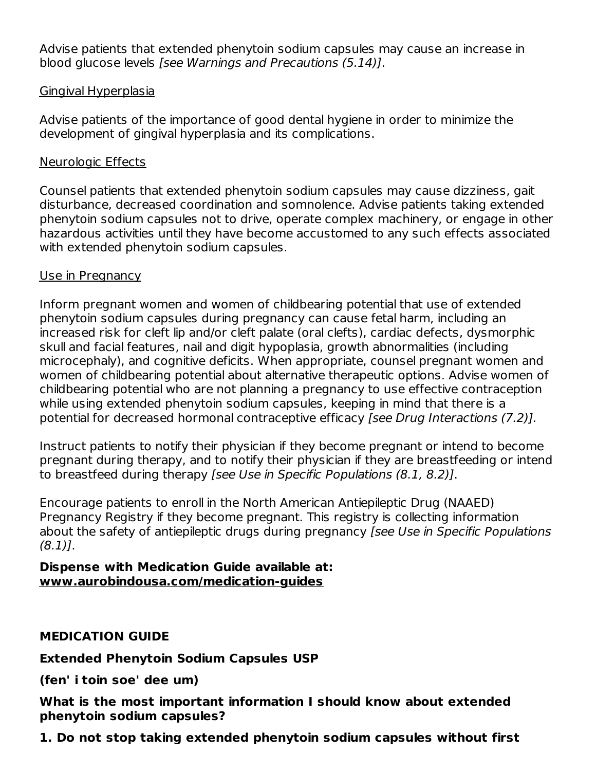Advise patients that extended phenytoin sodium capsules may cause an increase in blood glucose levels [see Warnings and Precautions (5.14)].

### Gingival Hyperplasia

Advise patients of the importance of good dental hygiene in order to minimize the development of gingival hyperplasia and its complications.

### Neurologic Effects

Counsel patients that extended phenytoin sodium capsules may cause dizziness, gait disturbance, decreased coordination and somnolence. Advise patients taking extended phenytoin sodium capsules not to drive, operate complex machinery, or engage in other hazardous activities until they have become accustomed to any such effects associated with extended phenytoin sodium capsules.

### Use in Pregnancy

Inform pregnant women and women of childbearing potential that use of extended phenytoin sodium capsules during pregnancy can cause fetal harm, including an increased risk for cleft lip and/or cleft palate (oral clefts), cardiac defects, dysmorphic skull and facial features, nail and digit hypoplasia, growth abnormalities (including microcephaly), and cognitive deficits. When appropriate, counsel pregnant women and women of childbearing potential about alternative therapeutic options. Advise women of childbearing potential who are not planning a pregnancy to use effective contraception while using extended phenytoin sodium capsules, keeping in mind that there is a potential for decreased hormonal contraceptive efficacy [see Drug Interactions (7.2)].

Instruct patients to notify their physician if they become pregnant or intend to become pregnant during therapy, and to notify their physician if they are breastfeeding or intend to breastfeed during therapy [see Use in Specific Populations (8.1, 8.2)].

Encourage patients to enroll in the North American Antiepileptic Drug (NAAED) Pregnancy Registry if they become pregnant. This registry is collecting information about the safety of antiepileptic drugs during pregnancy [see Use in Specific Populations  $(8.1)$ .

#### **Dispense with Medication Guide available at: www.aurobindousa.com/medication-guides**

### **MEDICATION GUIDE**

**Extended Phenytoin Sodium Capsules USP**

**(fen' i toin soe' dee um)**

**What is the most important information I should know about extended phenytoin sodium capsules?**

**1. Do not stop taking extended phenytoin sodium capsules without first**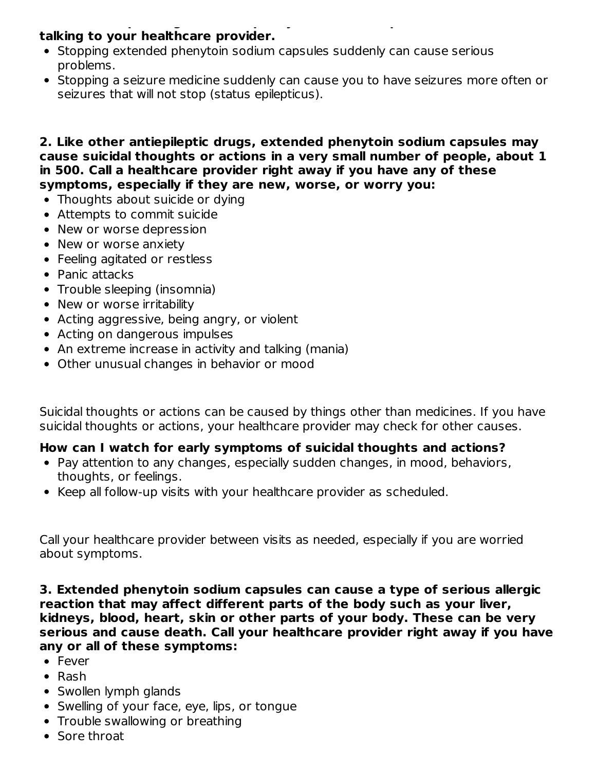#### **1. Do not stop taking extended phenytoin sodium capsules without first talking to your healthcare provider.**

- Stopping extended phenytoin sodium capsules suddenly can cause serious problems.
- Stopping a seizure medicine suddenly can cause you to have seizures more often or seizures that will not stop (status epilepticus).

**2. Like other antiepileptic drugs, extended phenytoin sodium capsules may cause suicidal thoughts or actions in a very small number of people, about 1 in 500. Call a healthcare provider right away if you have any of these symptoms, especially if they are new, worse, or worry you:**

- Thoughts about suicide or dying
- Attempts to commit suicide
- New or worse depression
- New or worse anxiety
- Feeling agitated or restless
- Panic attacks
- Trouble sleeping (insomnia)
- New or worse irritability
- Acting aggressive, being angry, or violent
- Acting on dangerous impulses
- An extreme increase in activity and talking (mania)
- Other unusual changes in behavior or mood

Suicidal thoughts or actions can be caused by things other than medicines. If you have suicidal thoughts or actions, your healthcare provider may check for other causes.

### **How can I watch for early symptoms of suicidal thoughts and actions?**

- Pay attention to any changes, especially sudden changes, in mood, behaviors, thoughts, or feelings.
- Keep all follow-up visits with your healthcare provider as scheduled.

Call your healthcare provider between visits as needed, especially if you are worried about symptoms.

**3. Extended phenytoin sodium capsules can cause a type of serious allergic reaction that may affect different parts of the body such as your liver, kidneys, blood, heart, skin or other parts of your body. These can be very serious and cause death. Call your healthcare provider right away if you have any or all of these symptoms:**

- Fever
- Rash
- Swollen lymph glands
- Swelling of your face, eye, lips, or tongue
- Trouble swallowing or breathing
- Sore throat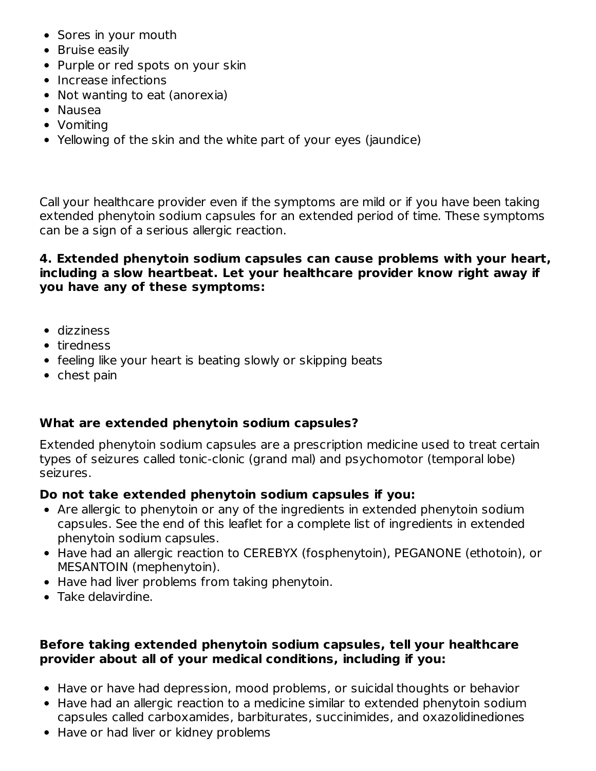- Sores in your mouth
- Bruise easily
- Purple or red spots on your skin
- Increase infections
- Not wanting to eat (anorexia)
- Nausea
- Vomiting
- Yellowing of the skin and the white part of your eyes (jaundice)

Call your healthcare provider even if the symptoms are mild or if you have been taking extended phenytoin sodium capsules for an extended period of time. These symptoms can be a sign of a serious allergic reaction.

### **4. Extended phenytoin sodium capsules can cause problems with your heart, including a slow heartbeat. Let your healthcare provider know right away if you have any of these symptoms:**

- dizziness
- tiredness
- feeling like your heart is beating slowly or skipping beats
- $\bullet$  chest pain

### **What are extended phenytoin sodium capsules?**

Extended phenytoin sodium capsules are a prescription medicine used to treat certain types of seizures called tonic-clonic (grand mal) and psychomotor (temporal lobe) seizures.

# **Do not take extended phenytoin sodium capsules if you:**

- Are allergic to phenytoin or any of the ingredients in extended phenytoin sodium capsules. See the end of this leaflet for a complete list of ingredients in extended phenytoin sodium capsules.
- Have had an allergic reaction to CEREBYX (fosphenytoin), PEGANONE (ethotoin), or MESANTOIN (mephenytoin).
- Have had liver problems from taking phenytoin.
- Take delavirdine.

### **Before taking extended phenytoin sodium capsules, tell your healthcare provider about all of your medical conditions, including if you:**

- Have or have had depression, mood problems, or suicidal thoughts or behavior
- Have had an allergic reaction to a medicine similar to extended phenytoin sodium capsules called carboxamides, barbiturates, succinimides, and oxazolidinediones
- Have or had liver or kidney problems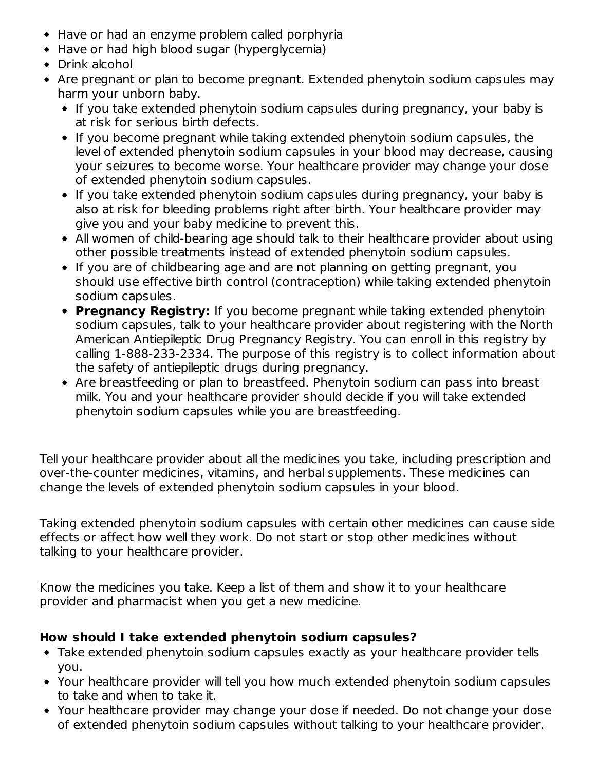- Have or had an enzyme problem called porphyria
- Have or had high blood sugar (hyperglycemia)
- Drink alcohol
- Are pregnant or plan to become pregnant. Extended phenytoin sodium capsules may harm your unborn baby.
	- If you take extended phenytoin sodium capsules during pregnancy, your baby is at risk for serious birth defects.
	- If you become pregnant while taking extended phenytoin sodium capsules, the level of extended phenytoin sodium capsules in your blood may decrease, causing your seizures to become worse. Your healthcare provider may change your dose of extended phenytoin sodium capsules.
	- If you take extended phenytoin sodium capsules during pregnancy, your baby is also at risk for bleeding problems right after birth. Your healthcare provider may give you and your baby medicine to prevent this.
	- All women of child-bearing age should talk to their healthcare provider about using other possible treatments instead of extended phenytoin sodium capsules.
	- If you are of childbearing age and are not planning on getting pregnant, you should use effective birth control (contraception) while taking extended phenytoin sodium capsules.
	- **Pregnancy Registry:** If you become pregnant while taking extended phenytoin sodium capsules, talk to your healthcare provider about registering with the North American Antiepileptic Drug Pregnancy Registry. You can enroll in this registry by calling 1-888-233-2334. The purpose of this registry is to collect information about the safety of antiepileptic drugs during pregnancy.
	- Are breastfeeding or plan to breastfeed. Phenytoin sodium can pass into breast milk. You and your healthcare provider should decide if you will take extended phenytoin sodium capsules while you are breastfeeding.

Tell your healthcare provider about all the medicines you take, including prescription and over-the-counter medicines, vitamins, and herbal supplements. These medicines can change the levels of extended phenytoin sodium capsules in your blood.

Taking extended phenytoin sodium capsules with certain other medicines can cause side effects or affect how well they work. Do not start or stop other medicines without talking to your healthcare provider.

Know the medicines you take. Keep a list of them and show it to your healthcare provider and pharmacist when you get a new medicine.

# **How should I take extended phenytoin sodium capsules?**

- Take extended phenytoin sodium capsules exactly as your healthcare provider tells you.
- Your healthcare provider will tell you how much extended phenytoin sodium capsules to take and when to take it.
- Your healthcare provider may change your dose if needed. Do not change your dose of extended phenytoin sodium capsules without talking to your healthcare provider.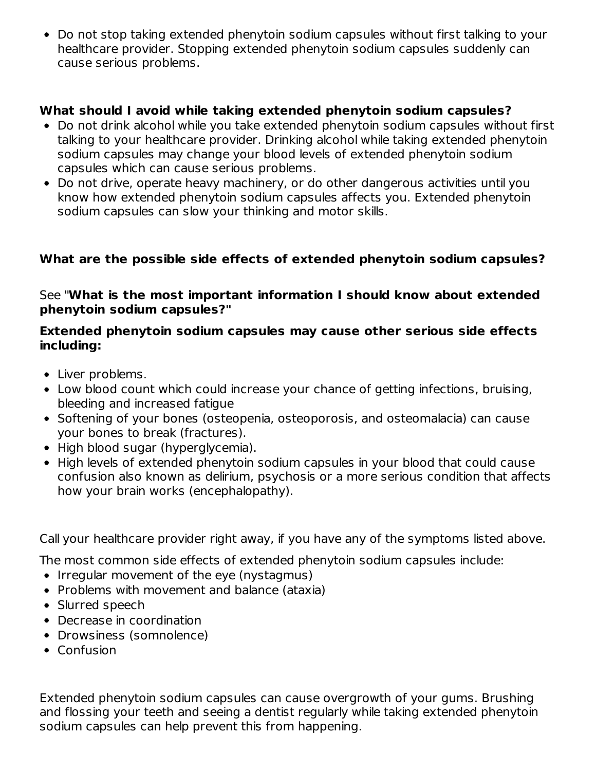Do not stop taking extended phenytoin sodium capsules without first talking to your healthcare provider. Stopping extended phenytoin sodium capsules suddenly can cause serious problems.

### **What should I avoid while taking extended phenytoin sodium capsules?**

- Do not drink alcohol while you take extended phenytoin sodium capsules without first talking to your healthcare provider. Drinking alcohol while taking extended phenytoin sodium capsules may change your blood levels of extended phenytoin sodium capsules which can cause serious problems.
- Do not drive, operate heavy machinery, or do other dangerous activities until you know how extended phenytoin sodium capsules affects you. Extended phenytoin sodium capsules can slow your thinking and motor skills.

### **What are the possible side effects of extended phenytoin sodium capsules?**

### See "**What is the most important information I should know about extended phenytoin sodium capsules?"**

#### **Extended phenytoin sodium capsules may cause other serious side effects including:**

- Liver problems.
- Low blood count which could increase your chance of getting infections, bruising, bleeding and increased fatigue
- Softening of your bones (osteopenia, osteoporosis, and osteomalacia) can cause your bones to break (fractures).
- High blood sugar (hyperglycemia).
- High levels of extended phenytoin sodium capsules in your blood that could cause confusion also known as delirium, psychosis or a more serious condition that affects how your brain works (encephalopathy).

Call your healthcare provider right away, if you have any of the symptoms listed above.

The most common side effects of extended phenytoin sodium capsules include:

- Irregular movement of the eye (nystagmus)
- Problems with movement and balance (ataxia)
- Slurred speech
- Decrease in coordination
- Drowsiness (somnolence)
- Confusion

Extended phenytoin sodium capsules can cause overgrowth of your gums. Brushing and flossing your teeth and seeing a dentist regularly while taking extended phenytoin sodium capsules can help prevent this from happening.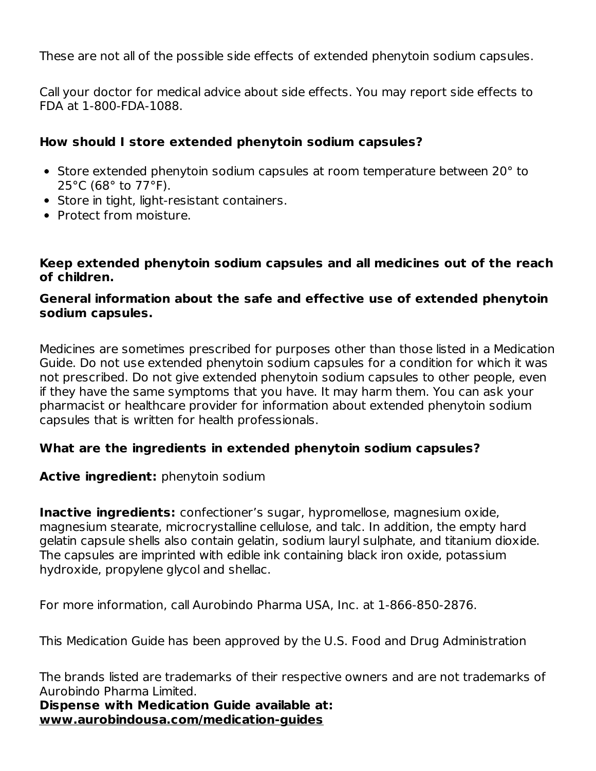These are not all of the possible side effects of extended phenytoin sodium capsules.

Call your doctor for medical advice about side effects. You may report side effects to FDA at 1-800-FDA-1088.

#### **How should I store extended phenytoin sodium capsules?**

- Store extended phenytoin sodium capsules at room temperature between 20° to 25°C (68° to 77°F).
- Store in tight, light-resistant containers.
- Protect from moisture.

#### **Keep extended phenytoin sodium capsules and all medicines out of the reach of children.**

### **General information about the safe and effective use of extended phenytoin sodium capsules.**

Medicines are sometimes prescribed for purposes other than those listed in a Medication Guide. Do not use extended phenytoin sodium capsules for a condition for which it was not prescribed. Do not give extended phenytoin sodium capsules to other people, even if they have the same symptoms that you have. It may harm them. You can ask your pharmacist or healthcare provider for information about extended phenytoin sodium capsules that is written for health professionals.

### **What are the ingredients in extended phenytoin sodium capsules?**

### **Active ingredient:** phenytoin sodium

**Inactive ingredients:** confectioner's sugar, hypromellose, magnesium oxide, magnesium stearate, microcrystalline cellulose, and talc. In addition, the empty hard gelatin capsule shells also contain gelatin, sodium lauryl sulphate, and titanium dioxide. The capsules are imprinted with edible ink containing black iron oxide, potassium hydroxide, propylene glycol and shellac.

For more information, call Aurobindo Pharma USA, Inc. at 1-866-850-2876.

This Medication Guide has been approved by the U.S. Food and Drug Administration

The brands listed are trademarks of their respective owners and are not trademarks of Aurobindo Pharma Limited.

**Dispense with Medication Guide available at: www.aurobindousa.com/medication-guides**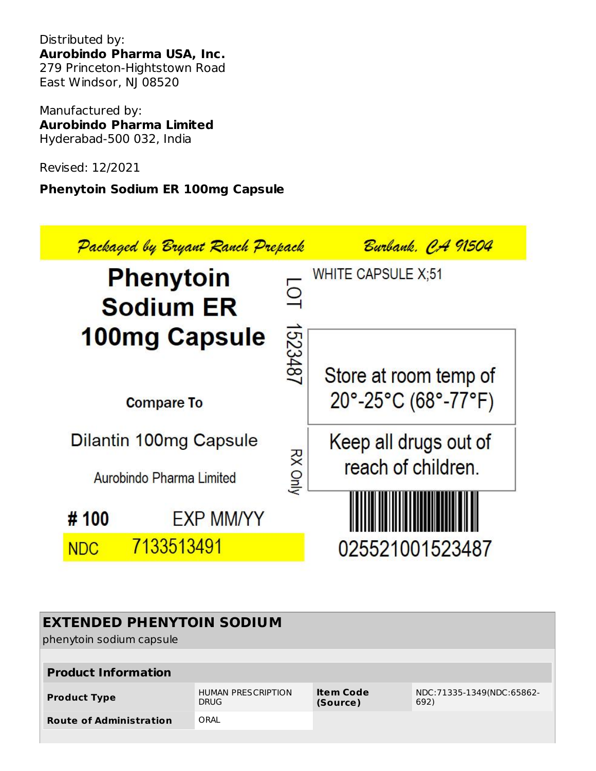Distributed by: **Aurobindo Pharma USA, Inc.** 279 Princeton-Hightstown Road East Windsor, NJ 08520

Manufactured by: **Aurobindo Pharma Limited** Hyderabad-500 032, India

Revised: 12/2021

# **Phenytoin Sodium ER 100mg Capsule**



| <b>EXTENDED PHENYTOIN SODIUM</b><br>phenytoin sodium capsule |                                          |                              |                                   |  |  |
|--------------------------------------------------------------|------------------------------------------|------------------------------|-----------------------------------|--|--|
| <b>Product Information</b>                                   |                                          |                              |                                   |  |  |
| <b>Product Type</b>                                          | <b>HUMAN PRESCRIPTION</b><br><b>DRUG</b> | <b>Item Code</b><br>(Source) | NDC:71335-1349(NDC:65862-<br>692) |  |  |
| ORAL<br><b>Route of Administration</b>                       |                                          |                              |                                   |  |  |
|                                                              |                                          |                              |                                   |  |  |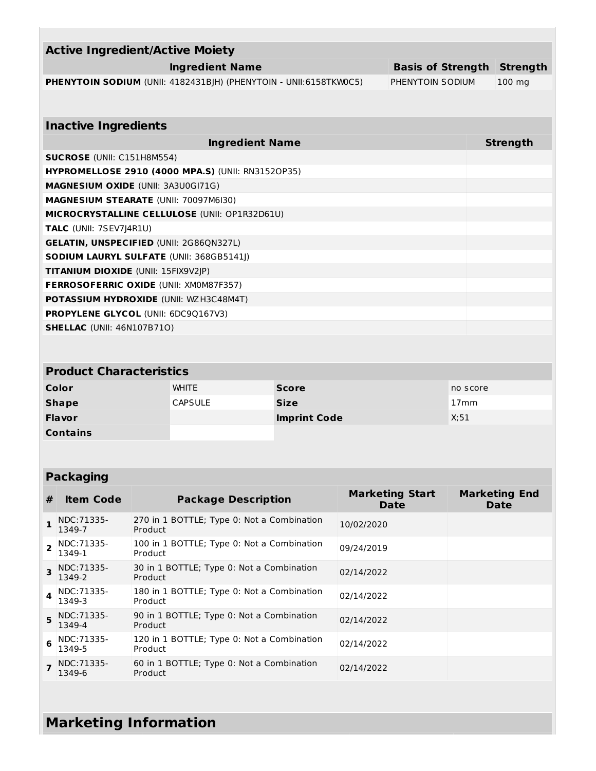| <b>Active Ingredient/Active Moiety</b>                                   |                                   |                  |  |  |  |
|--------------------------------------------------------------------------|-----------------------------------|------------------|--|--|--|
| Ingredient Name                                                          | <b>Basis of Strength Strength</b> |                  |  |  |  |
| <b>PHENYTOIN SODIUM</b> (UNII: 4182431BJH) (PHENYTOIN - UNII:6158TKW0C5) | PHENYTOIN SODIUM                  | $100 \text{ mg}$ |  |  |  |

| <b>Inactive Ingredients</b>                              |                 |  |  |  |
|----------------------------------------------------------|-----------------|--|--|--|
| <b>Ingredient Name</b>                                   | <b>Strength</b> |  |  |  |
| <b>SUCROSE</b> (UNII: C151H8M554)                        |                 |  |  |  |
| <b>HYPROMELLOSE 2910 (4000 MPA.S) (UNII: RN3152OP35)</b> |                 |  |  |  |
| <b>MAGNESIUM OXIDE (UNII: 3A3U0GI71G)</b>                |                 |  |  |  |
| <b>MAGNESIUM STEARATE (UNII: 70097M6I30)</b>             |                 |  |  |  |
| <b>MICROCRYSTALLINE CELLULOSE (UNII: OP1R32D61U)</b>     |                 |  |  |  |
| <b>TALC</b> (UNII: 7SEV7J4R1U)                           |                 |  |  |  |
| <b>GELATIN, UNSPECIFIED (UNII: 2G86QN327L)</b>           |                 |  |  |  |
| <b>SODIUM LAURYL SULFATE (UNII: 368GB5141J)</b>          |                 |  |  |  |
| <b>TITANIUM DIOXIDE (UNII: 15FIX9V2JP)</b>               |                 |  |  |  |
| <b>FERROSOFERRIC OXIDE (UNII: XM0M87F357)</b>            |                 |  |  |  |
| <b>POTASSIUM HYDROXIDE (UNII: WZH3C48M4T)</b>            |                 |  |  |  |
| <b>PROPYLENE GLYCOL (UNII: 6DC90167V3)</b>               |                 |  |  |  |
| <b>SHELLAC</b> (UNII: 46N107B71O)                        |                 |  |  |  |
|                                                          |                 |  |  |  |

| <b>Product Characteristics</b> |                |                     |                  |  |
|--------------------------------|----------------|---------------------|------------------|--|
| Color                          | <b>WHITE</b>   | <b>Score</b>        | no score         |  |
| <b>Shape</b>                   | <b>CAPSULE</b> | <b>Size</b>         | 17 <sub>mm</sub> |  |
| <b>Flavor</b>                  |                | <b>Imprint Code</b> | X:51             |  |
| <b>Contains</b>                |                |                     |                  |  |

# **Packaging**

| #                       | <b>Item Code</b>            | <b>Package Description</b>                            | <b>Marketing Start</b><br><b>Date</b> | <b>Marketing End</b><br><b>Date</b> |
|-------------------------|-----------------------------|-------------------------------------------------------|---------------------------------------|-------------------------------------|
| $\mathbf{1}$            | NDC: 71335-<br>1349-7       | 270 in 1 BOTTLE; Type 0: Not a Combination<br>Product | 10/02/2020                            |                                     |
| $\overline{2}$          | NDC:71335-<br>1349-1        | 100 in 1 BOTTLE; Type 0: Not a Combination<br>Product | 09/24/2019                            |                                     |
| $\overline{\mathbf{z}}$ | NDC:71335-<br>1349-2        | 30 in 1 BOTTLE; Type 0: Not a Combination<br>Product  | 02/14/2022                            |                                     |
|                         | $4$   NDC: 71335-<br>1349-3 | 180 in 1 BOTTLE; Type 0: Not a Combination<br>Product | 02/14/2022                            |                                     |
| 5                       | NDC:71335-<br>1349-4        | 90 in 1 BOTTLE; Type 0: Not a Combination<br>Product  | 02/14/2022                            |                                     |
| 6                       | NDC: 71335-<br>1349-5       | 120 in 1 BOTTLE; Type 0: Not a Combination<br>Product | 02/14/2022                            |                                     |
| $\overline{7}$          | NDC:71335-<br>1349-6        | 60 in 1 BOTTLE; Type 0: Not a Combination<br>Product  | 02/14/2022                            |                                     |

# **Marketing Information**